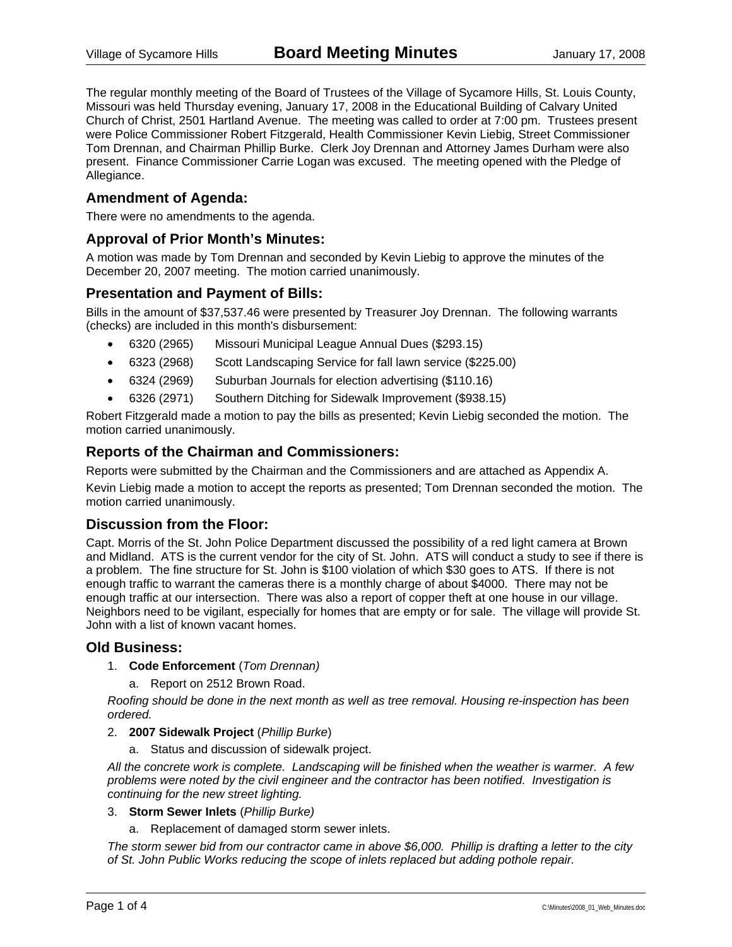The regular monthly meeting of the Board of Trustees of the Village of Sycamore Hills, St. Louis County, Missouri was held Thursday evening, January 17, 2008 in the Educational Building of Calvary United Church of Christ, 2501 Hartland Avenue. The meeting was called to order at 7:00 pm. Trustees present were Police Commissioner Robert Fitzgerald, Health Commissioner Kevin Liebig, Street Commissioner Tom Drennan, and Chairman Phillip Burke. Clerk Joy Drennan and Attorney James Durham were also present. Finance Commissioner Carrie Logan was excused. The meeting opened with the Pledge of Allegiance.

### **Amendment of Agenda:**

There were no amendments to the agenda.

### **Approval of Prior Month's Minutes:**

A motion was made by Tom Drennan and seconded by Kevin Liebig to approve the minutes of the December 20, 2007 meeting. The motion carried unanimously.

### **Presentation and Payment of Bills:**

Bills in the amount of \$37,537.46 were presented by Treasurer Joy Drennan. The following warrants (checks) are included in this month's disbursement:

- 6320 (2965) Missouri Municipal League Annual Dues (\$293.15)
- 6323 (2968) Scott Landscaping Service for fall lawn service (\$225.00)
- 6324 (2969) Suburban Journals for election advertising (\$110.16)
- 6326 (2971) Southern Ditching for Sidewalk Improvement (\$938.15)

Robert Fitzgerald made a motion to pay the bills as presented; Kevin Liebig seconded the motion. The motion carried unanimously.

### **Reports of the Chairman and Commissioners:**

Reports were submitted by the Chairman and the Commissioners and are attached as Appendix A. Kevin Liebig made a motion to accept the reports as presented; Tom Drennan seconded the motion. The motion carried unanimously.

### **Discussion from the Floor:**

Capt. Morris of the St. John Police Department discussed the possibility of a red light camera at Brown and Midland. ATS is the current vendor for the city of St. John. ATS will conduct a study to see if there is a problem. The fine structure for St. John is \$100 violation of which \$30 goes to ATS. If there is not enough traffic to warrant the cameras there is a monthly charge of about \$4000. There may not be enough traffic at our intersection. There was also a report of copper theft at one house in our village. Neighbors need to be vigilant, especially for homes that are empty or for sale. The village will provide St. John with a list of known vacant homes.

### **Old Business:**

- 1. **Code Enforcement** (*Tom Drennan)*
	- a. Report on 2512 Brown Road.

*Roofing should be done in the next month as well as tree removal. Housing re-inspection has been ordered.* 

- 2. **2007 Sidewalk Project** (*Phillip Burke*)
	- a. Status and discussion of sidewalk project.

*All the concrete work is complete. Landscaping will be finished when the weather is warmer. A few problems were noted by the civil engineer and the contractor has been notified. Investigation is continuing for the new street lighting.* 

- 3. **Storm Sewer Inlets** (*Phillip Burke)*
	- a. Replacement of damaged storm sewer inlets.

*The storm sewer bid from our contractor came in above \$6,000. Phillip is drafting a letter to the city of St. John Public Works reducing the scope of inlets replaced but adding pothole repair.*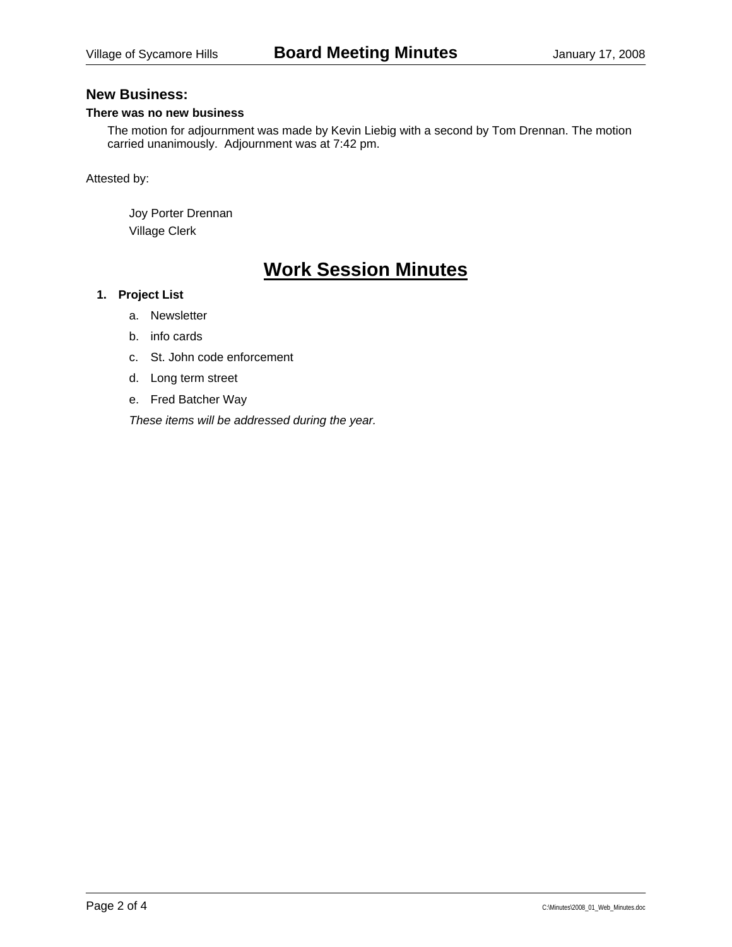### **New Business:**

### **There was no new business**

The motion for adjournment was made by Kevin Liebig with a second by Tom Drennan. The motion carried unanimously. Adjournment was at 7:42 pm.

Attested by:

 Joy Porter Drennan Village Clerk

# **Work Session Minutes**

#### **1. Project List**

- a. Newsletter
- b. info cards
- c. St. John code enforcement
- d. Long term street
- e. Fred Batcher Way

*These items will be addressed during the year.*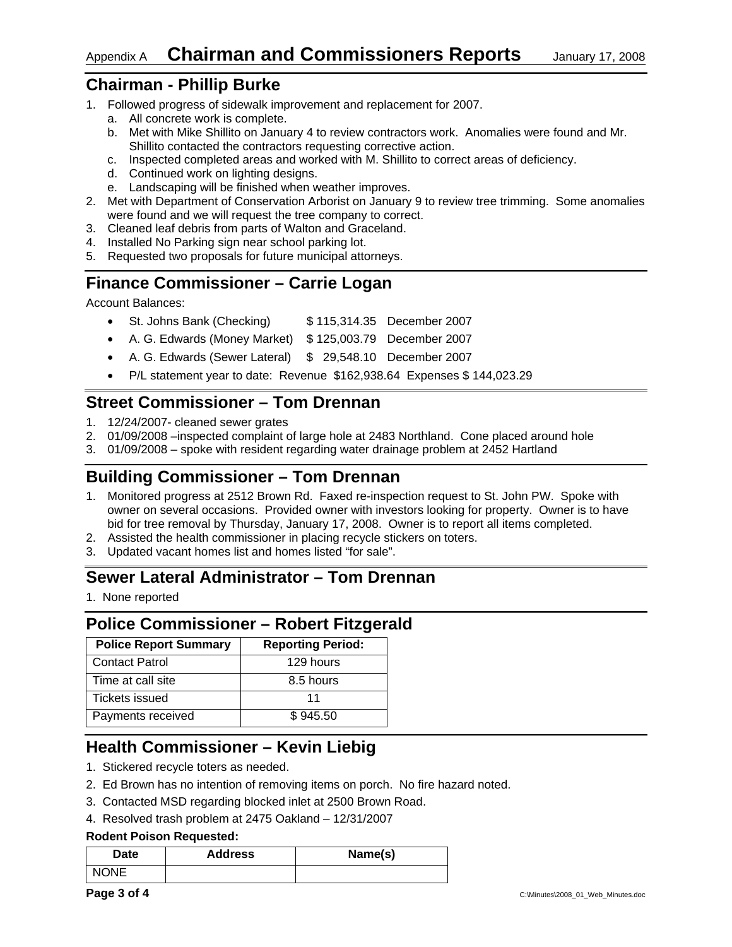# **Chairman - Phillip Burke**

- 1. Followed progress of sidewalk improvement and replacement for 2007.
	- a. All concrete work is complete.
	- b. Met with Mike Shillito on January 4 to review contractors work. Anomalies were found and Mr. Shillito contacted the contractors requesting corrective action.
	- c. Inspected completed areas and worked with M. Shillito to correct areas of deficiency.
	- d. Continued work on lighting designs.
	- e. Landscaping will be finished when weather improves.
- 2. Met with Department of Conservation Arborist on January 9 to review tree trimming. Some anomalies were found and we will request the tree company to correct.
- 3. Cleaned leaf debris from parts of Walton and Graceland.
- 4. Installed No Parking sign near school parking lot.
- 5. Requested two proposals for future municipal attorneys.

# **Finance Commissioner – Carrie Logan**

Account Balances:

- St. Johns Bank (Checking) \$115,314.35 December 2007
- A. G. Edwards (Money Market) \$ 125,003.79 December 2007
- A. G. Edwards (Sewer Lateral) \$ 29,548.10 December 2007
- P/L statement year to date: Revenue \$162,938.64 Expenses \$ 144,023.29

# **Street Commissioner – Tom Drennan**

- 1. 12/24/2007- cleaned sewer grates
- 2. 01/09/2008 –inspected complaint of large hole at 2483 Northland. Cone placed around hole
- 3. 01/09/2008 spoke with resident regarding water drainage problem at 2452 Hartland

# **Building Commissioner – Tom Drennan**

- 1. Monitored progress at 2512 Brown Rd. Faxed re-inspection request to St. John PW. Spoke with owner on several occasions. Provided owner with investors looking for property. Owner is to have bid for tree removal by Thursday, January 17, 2008. Owner is to report all items completed.
- 2. Assisted the health commissioner in placing recycle stickers on toters.
- 3. Updated vacant homes list and homes listed "for sale".

# **Sewer Lateral Administrator – Tom Drennan**

1. None reported

# **Police Commissioner – Robert Fitzgerald**

| <b>Police Report Summary</b> | <b>Reporting Period:</b> |
|------------------------------|--------------------------|
| <b>Contact Patrol</b>        | 129 hours                |
| Time at call site            | 8.5 hours                |
| Tickets issued               | 11                       |
| Payments received            | \$945.50                 |

# **Health Commissioner – Kevin Liebig**

- 1. Stickered recycle toters as needed.
- 2. Ed Brown has no intention of removing items on porch. No fire hazard noted.
- 3. Contacted MSD regarding blocked inlet at 2500 Brown Road.
- 4. Resolved trash problem at 2475 Oakland 12/31/2007

### **Rodent Poison Requested:**

| Date        | <b>Address</b> | Name(s) |
|-------------|----------------|---------|
| <b>NONE</b> |                |         |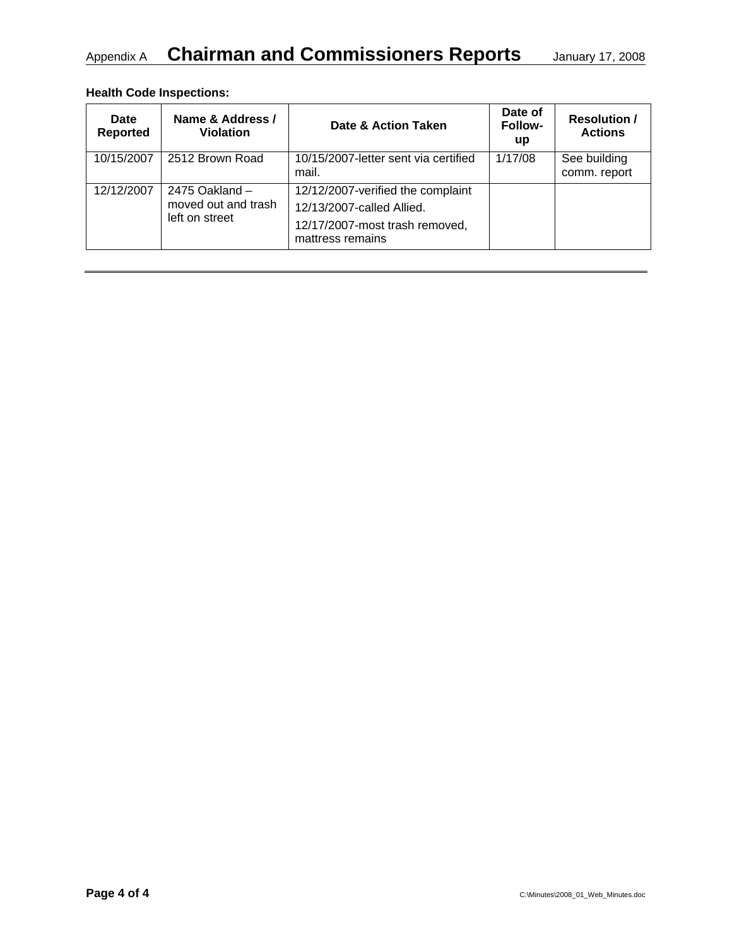# Appendix A **Chairman and Commissioners Reports** January 17, 2008

### **Health Code Inspections:**

| <b>Date</b><br><b>Reported</b> | Name & Address /<br><b>Violation</b>                      | Date & Action Taken                                                                                                  | Date of<br><b>Follow-</b><br>up | <b>Resolution /</b><br><b>Actions</b> |
|--------------------------------|-----------------------------------------------------------|----------------------------------------------------------------------------------------------------------------------|---------------------------------|---------------------------------------|
| 10/15/2007                     | 2512 Brown Road                                           | 10/15/2007-letter sent via certified<br>mail.                                                                        | 1/17/08                         | See building<br>comm. report          |
| 12/12/2007                     | 2475 Oakland $-$<br>moved out and trash<br>left on street | 12/12/2007-verified the complaint<br>12/13/2007-called Allied.<br>12/17/2007-most trash removed,<br>mattress remains |                                 |                                       |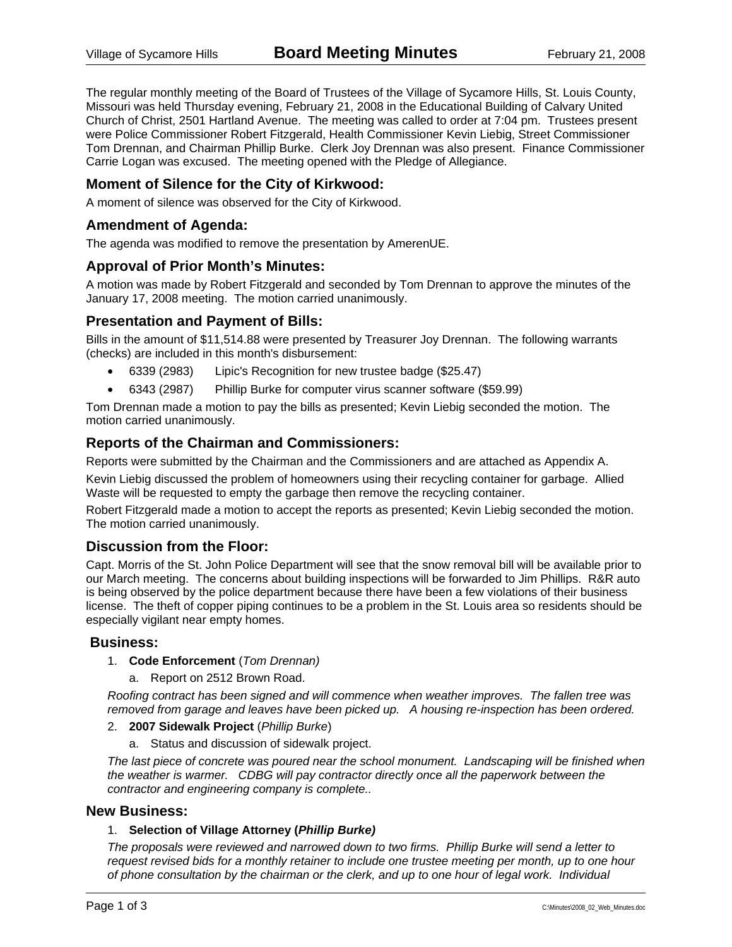The regular monthly meeting of the Board of Trustees of the Village of Sycamore Hills, St. Louis County, Missouri was held Thursday evening, February 21, 2008 in the Educational Building of Calvary United Church of Christ, 2501 Hartland Avenue. The meeting was called to order at 7:04 pm. Trustees present were Police Commissioner Robert Fitzgerald, Health Commissioner Kevin Liebig, Street Commissioner Tom Drennan, and Chairman Phillip Burke. Clerk Joy Drennan was also present. Finance Commissioner Carrie Logan was excused. The meeting opened with the Pledge of Allegiance.

### **Moment of Silence for the City of Kirkwood:**

A moment of silence was observed for the City of Kirkwood.

### **Amendment of Agenda:**

The agenda was modified to remove the presentation by AmerenUE.

### **Approval of Prior Month's Minutes:**

A motion was made by Robert Fitzgerald and seconded by Tom Drennan to approve the minutes of the January 17, 2008 meeting. The motion carried unanimously.

### **Presentation and Payment of Bills:**

Bills in the amount of \$11,514.88 were presented by Treasurer Joy Drennan. The following warrants (checks) are included in this month's disbursement:

- 6339 (2983) Lipic's Recognition for new trustee badge (\$25.47)
- 6343 (2987) Phillip Burke for computer virus scanner software (\$59.99)

Tom Drennan made a motion to pay the bills as presented; Kevin Liebig seconded the motion. The motion carried unanimously.

### **Reports of the Chairman and Commissioners:**

Reports were submitted by the Chairman and the Commissioners and are attached as Appendix A.

Kevin Liebig discussed the problem of homeowners using their recycling container for garbage. Allied Waste will be requested to empty the garbage then remove the recycling container.

Robert Fitzgerald made a motion to accept the reports as presented; Kevin Liebig seconded the motion. The motion carried unanimously.

### **Discussion from the Floor:**

Capt. Morris of the St. John Police Department will see that the snow removal bill will be available prior to our March meeting. The concerns about building inspections will be forwarded to Jim Phillips. R&R auto is being observed by the police department because there have been a few violations of their business license. The theft of copper piping continues to be a problem in the St. Louis area so residents should be especially vigilant near empty homes.

### **Business:**

- 1. **Code Enforcement** (*Tom Drennan)*
	- a. Report on 2512 Brown Road.

*Roofing contract has been signed and will commence when weather improves. The fallen tree was removed from garage and leaves have been picked up. A housing re-inspection has been ordered.* 

#### 2. **2007 Sidewalk Project** (*Phillip Burke*)

a. Status and discussion of sidewalk project.

*The last piece of concrete was poured near the school monument. Landscaping will be finished when the weather is warmer. CDBG will pay contractor directly once all the paperwork between the contractor and engineering company is complete..* 

### **New Business:**

#### 1. **Selection of Village Attorney (***Phillip Burke)*

*The proposals were reviewed and narrowed down to two firms. Phillip Burke will send a letter to request revised bids for a monthly retainer to include one trustee meeting per month, up to one hour of phone consultation by the chairman or the clerk, and up to one hour of legal work. Individual*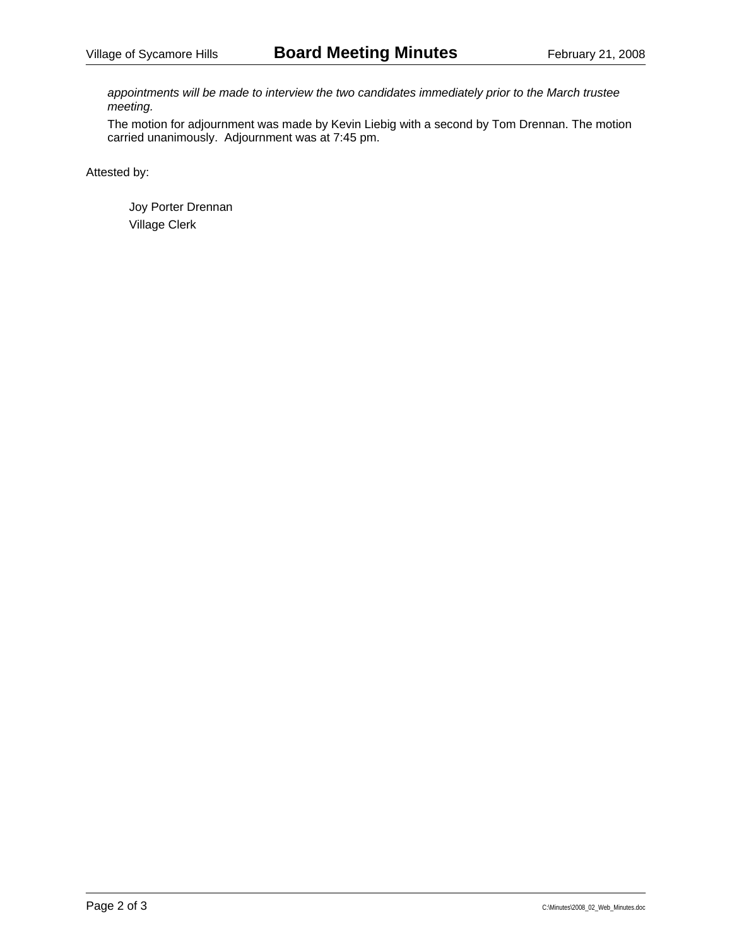*appointments will be made to interview the two candidates immediately prior to the March trustee meeting.* 

The motion for adjournment was made by Kevin Liebig with a second by Tom Drennan. The motion carried unanimously. Adjournment was at 7:45 pm.

Attested by: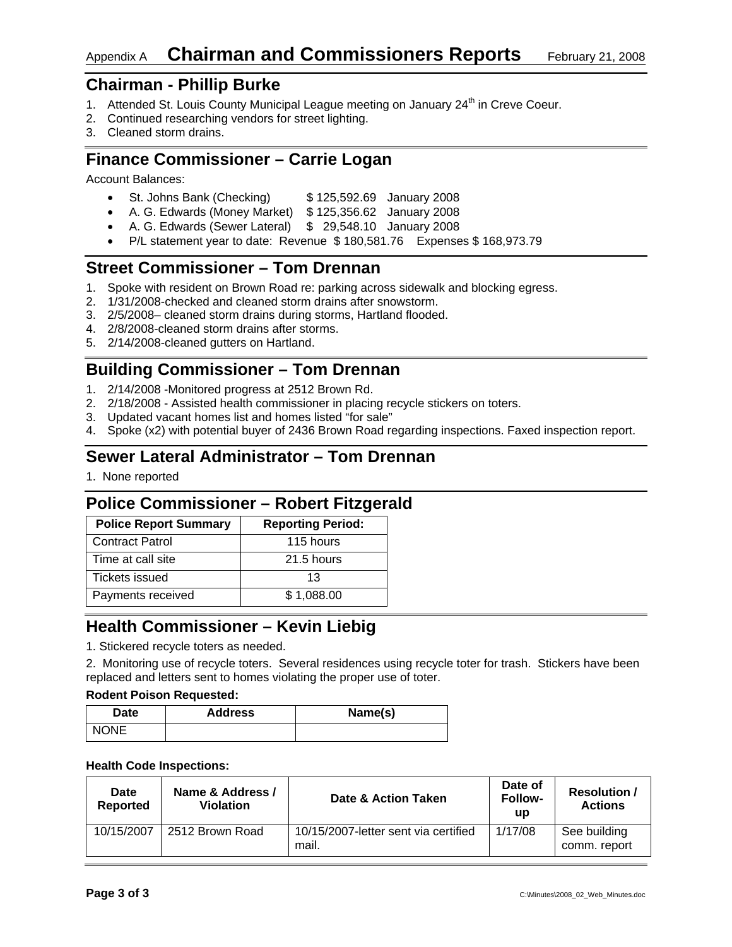# Appendix A **Chairman and Commissioners Reports** February 21, 2008

# **Chairman - Phillip Burke**

- 1. Attended St. Louis County Municipal League meeting on January 24<sup>th</sup> in Creve Coeur.
- 2. Continued researching vendors for street lighting.
- 3. Cleaned storm drains.

# **Finance Commissioner – Carrie Logan**

Account Balances:

- St. Johns Bank (Checking) \$125,592.69 January 2008
- A. G. Edwards (Money Market) \$ 125,356.62 January 2008
- A. G. Edwards (Sewer Lateral) \$ 29,548.10 January 2008
	- P/L statement year to date: Revenue \$ 180,581.76 Expenses \$ 168,973.79

# **Street Commissioner – Tom Drennan**

- 1. Spoke with resident on Brown Road re: parking across sidewalk and blocking egress.
- 2. 1/31/2008-checked and cleaned storm drains after snowstorm.
- 3. 2/5/2008– cleaned storm drains during storms, Hartland flooded.
- 4. 2/8/2008-cleaned storm drains after storms.
- 5. 2/14/2008-cleaned gutters on Hartland.

# **Building Commissioner – Tom Drennan**

- 1. 2/14/2008 -Monitored progress at 2512 Brown Rd.
- 2. 2/18/2008 Assisted health commissioner in placing recycle stickers on toters.
- 3. Updated vacant homes list and homes listed "for sale"
- 4. Spoke (x2) with potential buyer of 2436 Brown Road regarding inspections. Faxed inspection report.

# **Sewer Lateral Administrator – Tom Drennan**

1. None reported

# **Police Commissioner – Robert Fitzgerald**

| <b>Police Report Summary</b> | <b>Reporting Period:</b> |
|------------------------------|--------------------------|
| <b>Contract Patrol</b>       | 115 hours                |
| Time at call site            | 21.5 hours               |
| Tickets issued               | 13                       |
| Payments received            | \$1,088.00               |

# **Health Commissioner – Kevin Liebig**

1. Stickered recycle toters as needed.

2. Monitoring use of recycle toters. Several residences using recycle toter for trash. Stickers have been replaced and letters sent to homes violating the proper use of toter.

#### **Rodent Poison Requested:**

| Date        | <b>Address</b> | Name(s) |
|-------------|----------------|---------|
| <b>NONE</b> |                |         |

#### **Health Code Inspections:**

| Date<br><b>Reported</b> | Name & Address /<br>Violation | Date & Action Taken                           | Date of<br><b>Follow-</b><br><b>up</b> | <b>Resolution /</b><br><b>Actions</b> |
|-------------------------|-------------------------------|-----------------------------------------------|----------------------------------------|---------------------------------------|
| 10/15/2007              | 2512 Brown Road               | 10/15/2007-letter sent via certified<br>mail. | 1/17/08                                | See building<br>comm. report          |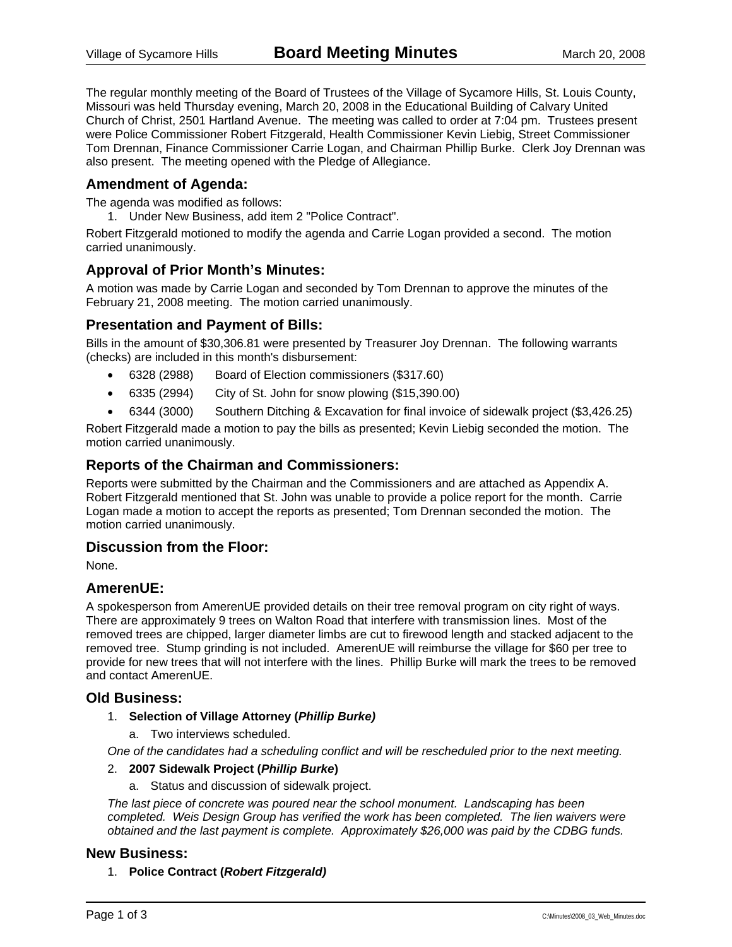The regular monthly meeting of the Board of Trustees of the Village of Sycamore Hills, St. Louis County, Missouri was held Thursday evening, March 20, 2008 in the Educational Building of Calvary United Church of Christ, 2501 Hartland Avenue. The meeting was called to order at 7:04 pm. Trustees present were Police Commissioner Robert Fitzgerald, Health Commissioner Kevin Liebig, Street Commissioner Tom Drennan, Finance Commissioner Carrie Logan, and Chairman Phillip Burke. Clerk Joy Drennan was also present. The meeting opened with the Pledge of Allegiance.

### **Amendment of Agenda:**

The agenda was modified as follows:

1. Under New Business, add item 2 "Police Contract".

Robert Fitzgerald motioned to modify the agenda and Carrie Logan provided a second. The motion carried unanimously.

### **Approval of Prior Month's Minutes:**

A motion was made by Carrie Logan and seconded by Tom Drennan to approve the minutes of the February 21, 2008 meeting. The motion carried unanimously.

### **Presentation and Payment of Bills:**

Bills in the amount of \$30,306.81 were presented by Treasurer Joy Drennan. The following warrants (checks) are included in this month's disbursement:

- 6328 (2988) Board of Election commissioners (\$317.60)
- 6335 (2994) City of St. John for snow plowing (\$15,390.00)

• 6344 (3000) Southern Ditching & Excavation for final invoice of sidewalk project (\$3,426.25)

Robert Fitzgerald made a motion to pay the bills as presented; Kevin Liebig seconded the motion. The motion carried unanimously.

### **Reports of the Chairman and Commissioners:**

Reports were submitted by the Chairman and the Commissioners and are attached as Appendix A. Robert Fitzgerald mentioned that St. John was unable to provide a police report for the month. Carrie Logan made a motion to accept the reports as presented; Tom Drennan seconded the motion. The motion carried unanimously.

### **Discussion from the Floor:**

None.

### **AmerenUE:**

A spokesperson from AmerenUE provided details on their tree removal program on city right of ways. There are approximately 9 trees on Walton Road that interfere with transmission lines. Most of the removed trees are chipped, larger diameter limbs are cut to firewood length and stacked adjacent to the removed tree. Stump grinding is not included. AmerenUE will reimburse the village for \$60 per tree to provide for new trees that will not interfere with the lines. Phillip Burke will mark the trees to be removed and contact AmerenUE.

### **Old Business:**

- 1. **Selection of Village Attorney (***Phillip Burke)*
	- a. Two interviews scheduled.

*One of the candidates had a scheduling conflict and will be rescheduled prior to the next meeting.* 

### 2. **2007 Sidewalk Project (***Phillip Burke***)**

a. Status and discussion of sidewalk project.

*The last piece of concrete was poured near the school monument. Landscaping has been completed. Weis Design Group has verified the work has been completed. The lien waivers were obtained and the last payment is complete. Approximately \$26,000 was paid by the CDBG funds.* 

### **New Business:**

1. **Police Contract (***Robert Fitzgerald)*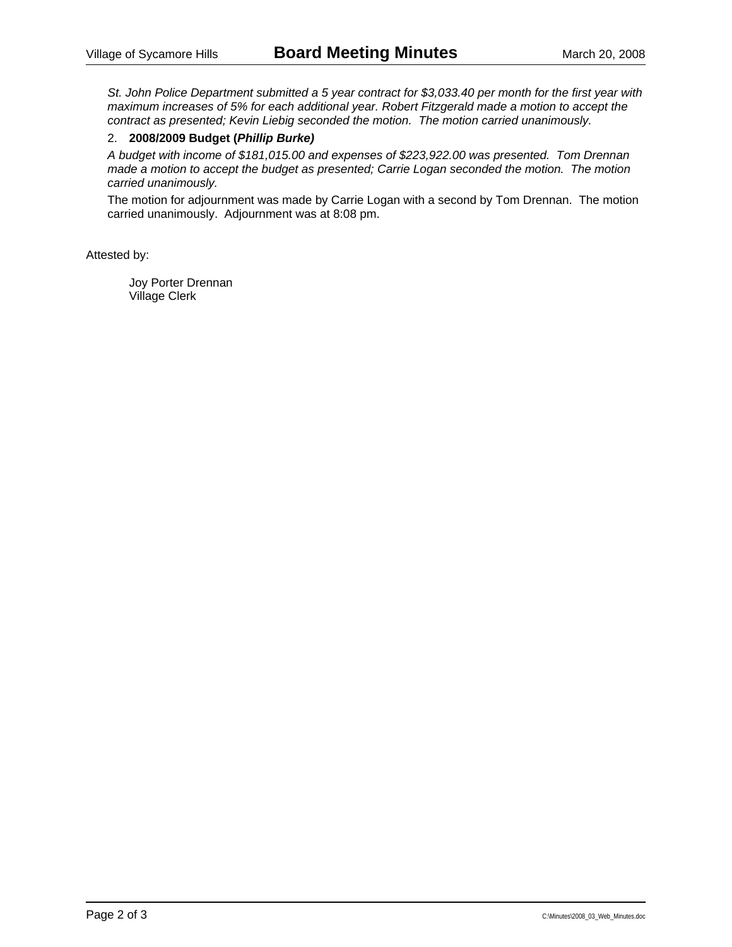*St. John Police Department submitted a 5 year contract for \$3,033.40 per month for the first year with maximum increases of 5% for each additional year. Robert Fitzgerald made a motion to accept the contract as presented; Kevin Liebig seconded the motion. The motion carried unanimously.* 

### 2. **2008/2009 Budget (***Phillip Burke)*

*A budget with income of \$181,015.00 and expenses of \$223,922.00 was presented. Tom Drennan made a motion to accept the budget as presented; Carrie Logan seconded the motion. The motion carried unanimously.* 

The motion for adjournment was made by Carrie Logan with a second by Tom Drennan. The motion carried unanimously. Adjournment was at 8:08 pm.

Attested by: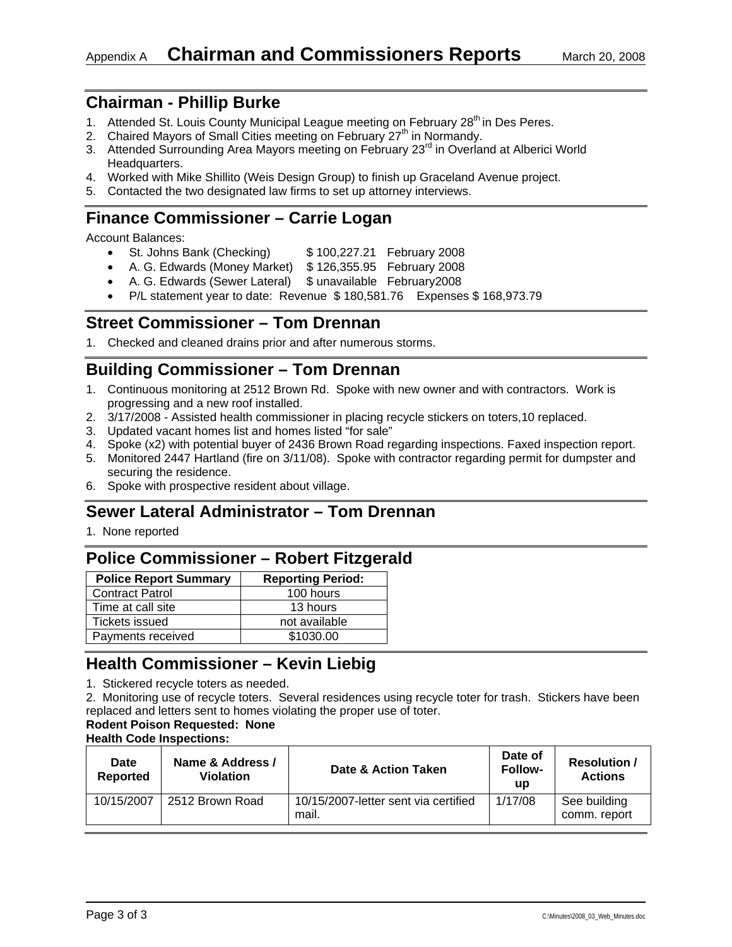# **Chairman - Phillip Burke**

- 1. Attended St. Louis County Municipal League meeting on February 28<sup>th</sup> in Des Peres.
- 2. Chaired Mayors of Small Cities meeting on February 27<sup>th</sup> in Normandy.
- 3. Attended Surrounding Area Mayors meeting on February 23<sup>rd</sup> in Overland at Alberici World Headquarters.
- 4. Worked with Mike Shillito (Weis Design Group) to finish up Graceland Avenue project.
- 5. Contacted the two designated law firms to set up attorney interviews.

# **Finance Commissioner – Carrie Logan**

Account Balances:

- St. Johns Bank (Checking) \$100,227.21 February 2008
- A. G. Edwards (Money Market) \$ 126,355.95 February 2008
- A. G. Edwards (Sewer Lateral) \$ unavailable February2008
- P/L statement year to date: Revenue \$ 180,581.76 Expenses \$ 168,973.79

# **Street Commissioner – Tom Drennan**

1. Checked and cleaned drains prior and after numerous storms.

# **Building Commissioner – Tom Drennan**

- 1. Continuous monitoring at 2512 Brown Rd. Spoke with new owner and with contractors. Work is progressing and a new roof installed.
- 2. 3/17/2008 Assisted health commissioner in placing recycle stickers on toters,10 replaced.
- 3. Updated vacant homes list and homes listed "for sale"
- 4. Spoke (x2) with potential buyer of 2436 Brown Road regarding inspections. Faxed inspection report.
- 5. Monitored 2447 Hartland (fire on 3/11/08). Spoke with contractor regarding permit for dumpster and securing the residence.
- 6. Spoke with prospective resident about village.

# **Sewer Lateral Administrator – Tom Drennan**

1. None reported

# **Police Commissioner – Robert Fitzgerald**

| <b>Reporting Period:</b> |
|--------------------------|
| 100 hours                |
| 13 hours                 |
| not available            |
| \$1030.00                |
|                          |

# **Health Commissioner – Kevin Liebig**

1. Stickered recycle toters as needed.

2. Monitoring use of recycle toters. Several residences using recycle toter for trash. Stickers have been replaced and letters sent to homes violating the proper use of toter.

### **Rodent Poison Requested: None**

**Health Code Inspections:** 

| <b>Date</b><br>Reported | Name & Address /<br><b>Violation</b> | Date & Action Taken                           | Date of<br><b>Follow-</b><br>up | <b>Resolution /</b><br><b>Actions</b> |
|-------------------------|--------------------------------------|-----------------------------------------------|---------------------------------|---------------------------------------|
| 10/15/2007              | 2512 Brown Road                      | 10/15/2007-letter sent via certified<br>mail. | 1/17/08                         | See building<br>comm. report          |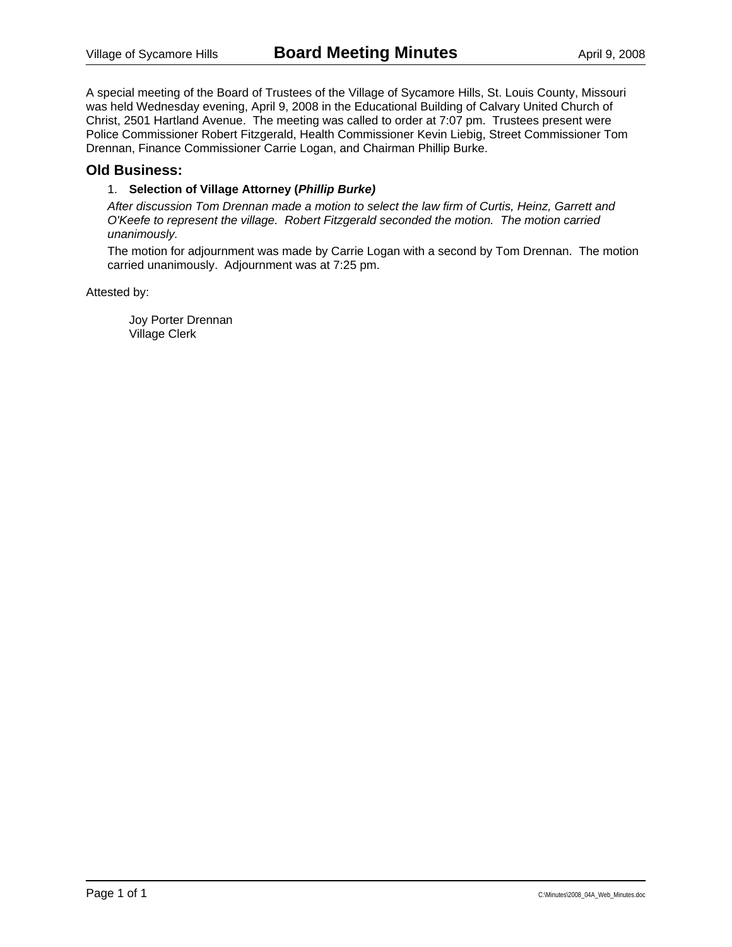A special meeting of the Board of Trustees of the Village of Sycamore Hills, St. Louis County, Missouri was held Wednesday evening, April 9, 2008 in the Educational Building of Calvary United Church of Christ, 2501 Hartland Avenue. The meeting was called to order at 7:07 pm. Trustees present were Police Commissioner Robert Fitzgerald, Health Commissioner Kevin Liebig, Street Commissioner Tom Drennan, Finance Commissioner Carrie Logan, and Chairman Phillip Burke.

### **Old Business:**

#### 1. **Selection of Village Attorney (***Phillip Burke)*

*After discussion Tom Drennan made a motion to select the law firm of Curtis, Heinz, Garrett and O'Keefe to represent the village. Robert Fitzgerald seconded the motion. The motion carried unanimously.* 

The motion for adjournment was made by Carrie Logan with a second by Tom Drennan. The motion carried unanimously. Adjournment was at 7:25 pm.

Attested by: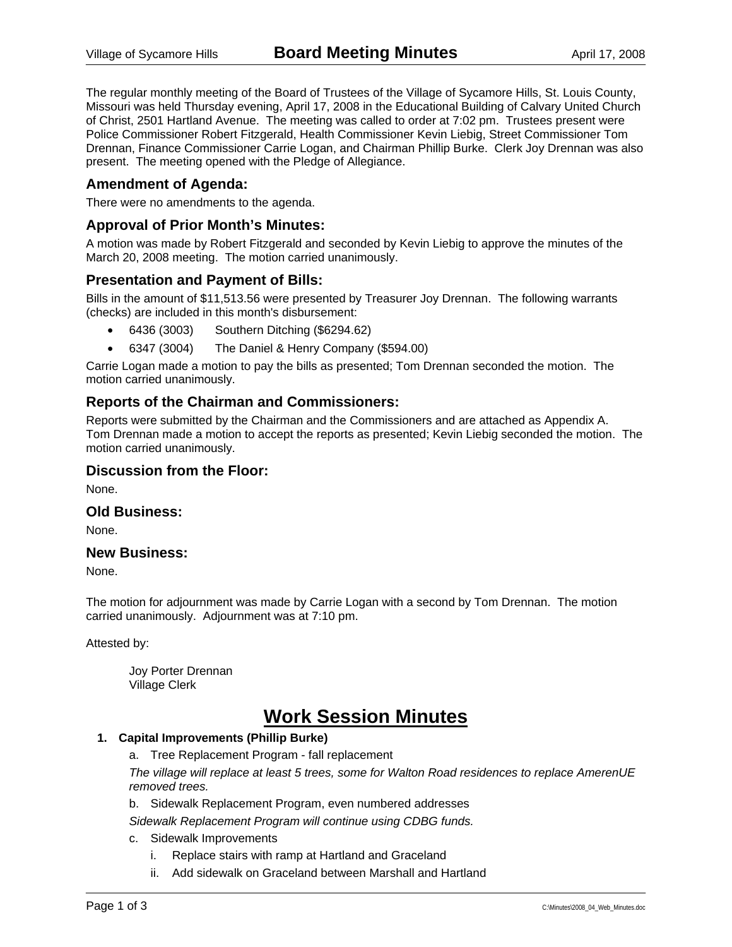The regular monthly meeting of the Board of Trustees of the Village of Sycamore Hills, St. Louis County, Missouri was held Thursday evening, April 17, 2008 in the Educational Building of Calvary United Church of Christ, 2501 Hartland Avenue. The meeting was called to order at 7:02 pm. Trustees present were Police Commissioner Robert Fitzgerald, Health Commissioner Kevin Liebig, Street Commissioner Tom Drennan, Finance Commissioner Carrie Logan, and Chairman Phillip Burke. Clerk Joy Drennan was also present. The meeting opened with the Pledge of Allegiance.

### **Amendment of Agenda:**

There were no amendments to the agenda.

### **Approval of Prior Month's Minutes:**

A motion was made by Robert Fitzgerald and seconded by Kevin Liebig to approve the minutes of the March 20, 2008 meeting. The motion carried unanimously.

### **Presentation and Payment of Bills:**

Bills in the amount of \$11,513.56 were presented by Treasurer Joy Drennan. The following warrants (checks) are included in this month's disbursement:

- 6436 (3003) Southern Ditching (\$6294.62)
- 6347 (3004) The Daniel & Henry Company (\$594.00)

Carrie Logan made a motion to pay the bills as presented; Tom Drennan seconded the motion. The motion carried unanimously.

### **Reports of the Chairman and Commissioners:**

Reports were submitted by the Chairman and the Commissioners and are attached as Appendix A. Tom Drennan made a motion to accept the reports as presented; Kevin Liebig seconded the motion. The motion carried unanimously.

#### **Discussion from the Floor:**

None.

#### **Old Business:**

None.

#### **New Business:**

None.

The motion for adjournment was made by Carrie Logan with a second by Tom Drennan. The motion carried unanimously. Adjournment was at 7:10 pm.

Attested by:

 Joy Porter Drennan Village Clerk

# **Work Session Minutes**

### **1. Capital Improvements (Phillip Burke)**

a. Tree Replacement Program - fall replacement

*The village will replace at least 5 trees, some for Walton Road residences to replace AmerenUE removed trees.* 

b. Sidewalk Replacement Program, even numbered addresses

*Sidewalk Replacement Program will continue using CDBG funds.* 

- c. Sidewalk Improvements
	- i. Replace stairs with ramp at Hartland and Graceland
	- ii. Add sidewalk on Graceland between Marshall and Hartland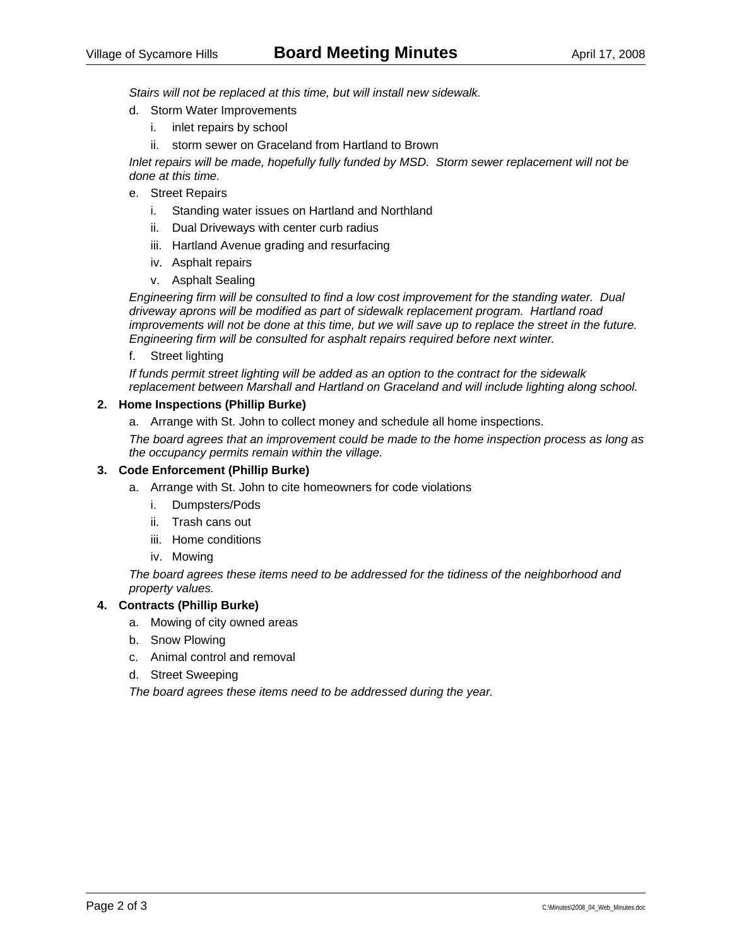*Stairs will not be replaced at this time, but will install new sidewalk.* 

- d. Storm Water Improvements
	- i. inlet repairs by school
	- ii. storm sewer on Graceland from Hartland to Brown

*Inlet repairs will be made, hopefully fully funded by MSD. Storm sewer replacement will not be done at this time.* 

- e. Street Repairs
	- i. Standing water issues on Hartland and Northland
	- ii. Dual Driveways with center curb radius
	- iii. Hartland Avenue grading and resurfacing
	- iv. Asphalt repairs
	- v. Asphalt Sealing

*Engineering firm will be consulted to find a low cost improvement for the standing water. Dual driveway aprons will be modified as part of sidewalk replacement program. Hartland road improvements will not be done at this time, but we will save up to replace the street in the future. Engineering firm will be consulted for asphalt repairs required before next winter.* 

f. Street lighting

*If funds permit street lighting will be added as an option to the contract for the sidewalk replacement between Marshall and Hartland on Graceland and will include lighting along school.* 

#### **2. Home Inspections (Phillip Burke)**

a. Arrange with St. John to collect money and schedule all home inspections.

*The board agrees that an improvement could be made to the home inspection process as long as the occupancy permits remain within the village.* 

#### **3. Code Enforcement (Phillip Burke)**

- a. Arrange with St. John to cite homeowners for code violations
	- i. Dumpsters/Pods
	- ii. Trash cans out
	- iii. Home conditions
	- iv. Mowing

*The board agrees these items need to be addressed for the tidiness of the neighborhood and property values.* 

#### **4. Contracts (Phillip Burke)**

- a. Mowing of city owned areas
- b. Snow Plowing
- c. Animal control and removal
- d. Street Sweeping

*The board agrees these items need to be addressed during the year.*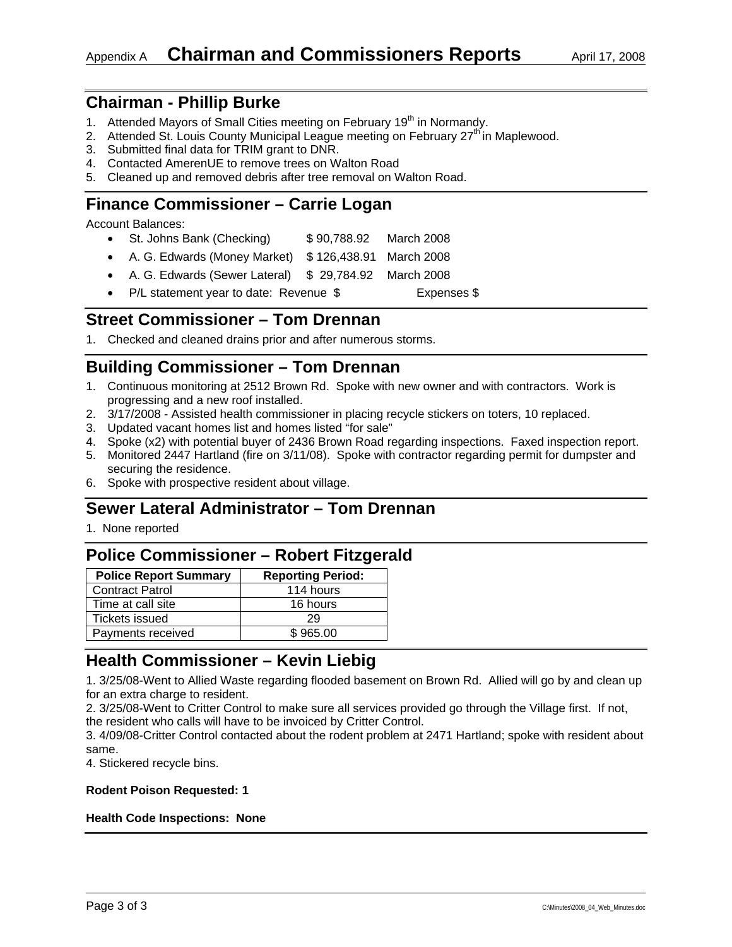# **Chairman - Phillip Burke**

- 1. Attended Mayors of Small Cities meeting on February 19<sup>th</sup> in Normandy.
- 2. Attended St. Louis County Municipal League meeting on February  $27<sup>th</sup>$  in Maplewood.
- 3. Submitted final data for TRIM grant to DNR.
- 4. Contacted AmerenUE to remove trees on Walton Road
- 5. Cleaned up and removed debris after tree removal on Walton Road.

# **Finance Commissioner – Carrie Logan**

Account Balances:

- St. Johns Bank (Checking) \$90,788.92 March 2008
- A. G. Edwards (Money Market) \$ 126,438.91 March 2008
- A. G. Edwards (Sewer Lateral) \$ 29,784.92 March 2008
- P/L statement year to date: Revenue \$ Expenses \$

# **Street Commissioner – Tom Drennan**

1. Checked and cleaned drains prior and after numerous storms.

# **Building Commissioner – Tom Drennan**

- 1. Continuous monitoring at 2512 Brown Rd. Spoke with new owner and with contractors. Work is progressing and a new roof installed.
- 2. 3/17/2008 Assisted health commissioner in placing recycle stickers on toters, 10 replaced.
- 3. Updated vacant homes list and homes listed "for sale"
- 4. Spoke (x2) with potential buyer of 2436 Brown Road regarding inspections. Faxed inspection report.
- 5. Monitored 2447 Hartland (fire on 3/11/08). Spoke with contractor regarding permit for dumpster and securing the residence.
- 6. Spoke with prospective resident about village.

# **Sewer Lateral Administrator – Tom Drennan**

1. None reported

# **Police Commissioner – Robert Fitzgerald**

| <b>Reporting Period:</b> |
|--------------------------|
| 114 hours                |
| 16 hours                 |
| 29                       |
| \$965.00                 |
|                          |

# **Health Commissioner – Kevin Liebig**

1. 3/25/08-Went to Allied Waste regarding flooded basement on Brown Rd. Allied will go by and clean up for an extra charge to resident.

2. 3/25/08-Went to Critter Control to make sure all services provided go through the Village first. If not, the resident who calls will have to be invoiced by Critter Control.

3. 4/09/08-Critter Control contacted about the rodent problem at 2471 Hartland; spoke with resident about same.

4. Stickered recycle bins.

#### **Rodent Poison Requested: 1**

#### **Health Code Inspections: None**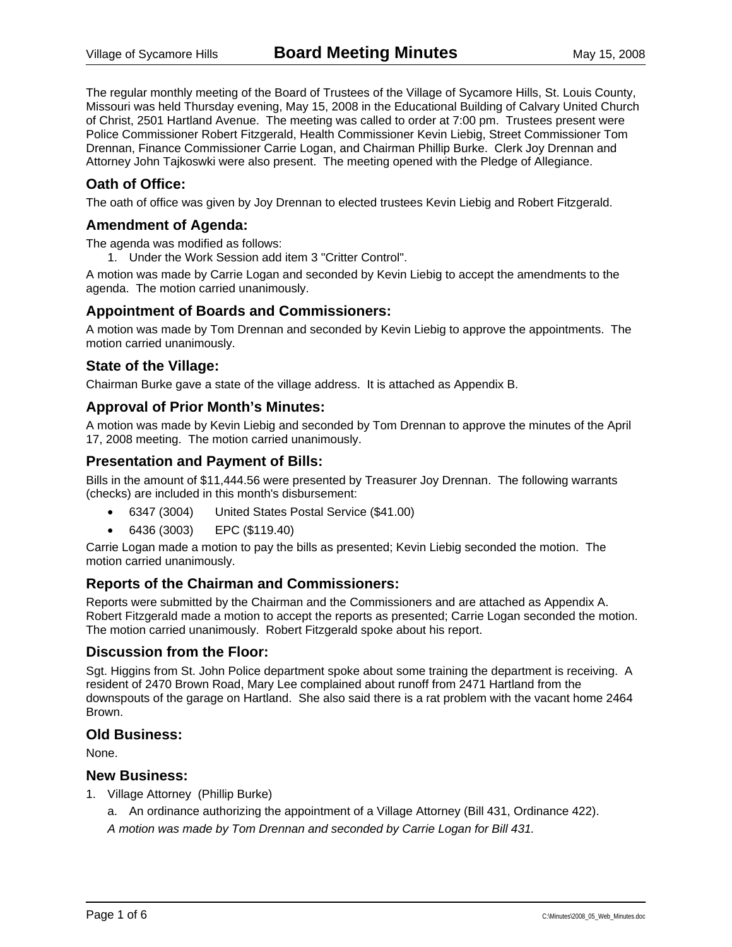The regular monthly meeting of the Board of Trustees of the Village of Sycamore Hills, St. Louis County, Missouri was held Thursday evening, May 15, 2008 in the Educational Building of Calvary United Church of Christ, 2501 Hartland Avenue. The meeting was called to order at 7:00 pm. Trustees present were Police Commissioner Robert Fitzgerald, Health Commissioner Kevin Liebig, Street Commissioner Tom Drennan, Finance Commissioner Carrie Logan, and Chairman Phillip Burke. Clerk Joy Drennan and Attorney John Tajkoswki were also present. The meeting opened with the Pledge of Allegiance.

## **Oath of Office:**

The oath of office was given by Joy Drennan to elected trustees Kevin Liebig and Robert Fitzgerald.

### **Amendment of Agenda:**

The agenda was modified as follows:

1. Under the Work Session add item 3 "Critter Control".

A motion was made by Carrie Logan and seconded by Kevin Liebig to accept the amendments to the agenda. The motion carried unanimously.

### **Appointment of Boards and Commissioners:**

A motion was made by Tom Drennan and seconded by Kevin Liebig to approve the appointments. The motion carried unanimously.

### **State of the Village:**

Chairman Burke gave a state of the village address. It is attached as Appendix B.

### **Approval of Prior Month's Minutes:**

A motion was made by Kevin Liebig and seconded by Tom Drennan to approve the minutes of the April 17, 2008 meeting. The motion carried unanimously.

### **Presentation and Payment of Bills:**

Bills in the amount of \$11,444.56 were presented by Treasurer Joy Drennan. The following warrants (checks) are included in this month's disbursement:

- 6347 (3004) United States Postal Service (\$41.00)
- 6436 (3003) EPC (\$119.40)

Carrie Logan made a motion to pay the bills as presented; Kevin Liebig seconded the motion. The motion carried unanimously.

### **Reports of the Chairman and Commissioners:**

Reports were submitted by the Chairman and the Commissioners and are attached as Appendix A. Robert Fitzgerald made a motion to accept the reports as presented; Carrie Logan seconded the motion. The motion carried unanimously. Robert Fitzgerald spoke about his report.

### **Discussion from the Floor:**

Sgt. Higgins from St. John Police department spoke about some training the department is receiving. A resident of 2470 Brown Road, Mary Lee complained about runoff from 2471 Hartland from the downspouts of the garage on Hartland. She also said there is a rat problem with the vacant home 2464 Brown.

### **Old Business:**

None.

### **New Business:**

- 1. Village Attorney (Phillip Burke)
	- a. An ordinance authorizing the appointment of a Village Attorney (Bill 431, Ordinance 422).

*A motion was made by Tom Drennan and seconded by Carrie Logan for Bill 431.*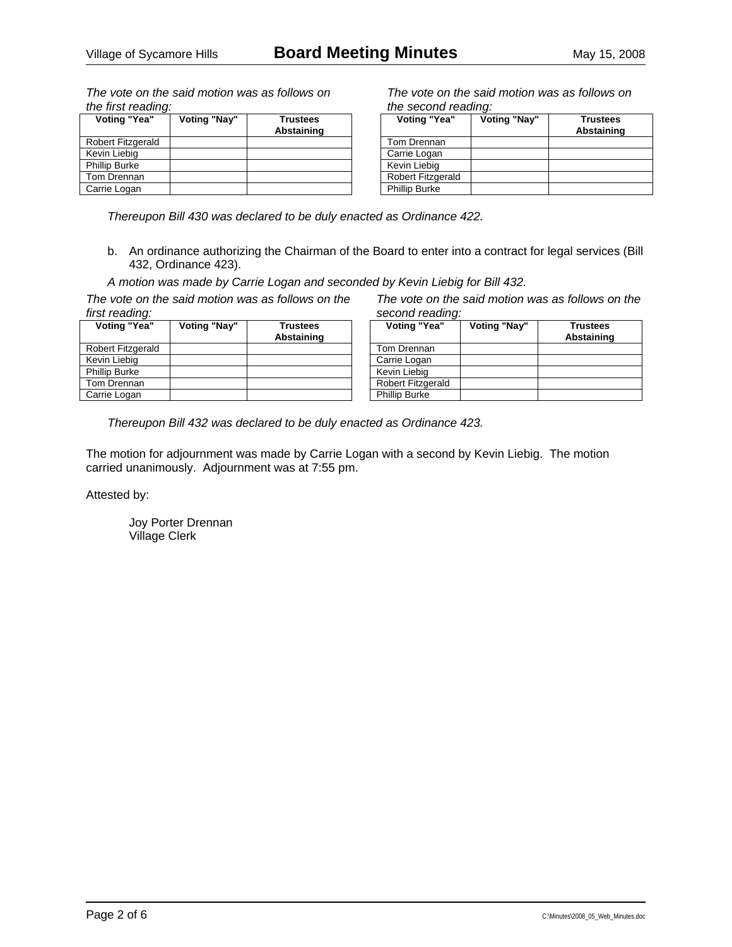*The vote on the said motion was as follows on the first reading:* 

| Voting "Yea"             | Voting "Nay" | <b>Trustees</b><br>Abstaining |
|--------------------------|--------------|-------------------------------|
| <b>Robert Fitzgerald</b> |              |                               |
| Kevin Liebig             |              |                               |
| <b>Phillip Burke</b>     |              |                               |
| Tom Drennan              |              |                               |
| Carrie Logan             |              |                               |

*The vote on the said motion was as follows on the second reading:* 

| Voting "Yea"             | Voting "Nay" | <b>Trustees</b><br>Abstaining |
|--------------------------|--------------|-------------------------------|
| Tom Drennan              |              |                               |
| Carrie Logan             |              |                               |
| Kevin Liebig             |              |                               |
| <b>Robert Fitzgerald</b> |              |                               |
| <b>Phillip Burke</b>     |              |                               |

*Thereupon Bill 430 was declared to be duly enacted as Ordinance 422.* 

b. An ordinance authorizing the Chairman of the Board to enter into a contract for legal services (Bill 432, Ordinance 423).

*A motion was made by Carrie Logan and seconded by Kevin Liebig for Bill 432.* 

*The vote on the said motion was as follows on the first reading:* 

| Voting "Yea"         | Voting "Nay" | <b>Trustees</b><br>Abstaining |
|----------------------|--------------|-------------------------------|
| Robert Fitzgerald    |              |                               |
| Kevin Liebig         |              |                               |
| <b>Phillip Burke</b> |              |                               |
| Tom Drennan          |              |                               |
| Carrie Logan         |              |                               |

*The vote on the said motion was as follows on the second reading:* 

| Voting "Yea"         | Voting "Nay" | <b>Trustees</b><br>Abstaining |
|----------------------|--------------|-------------------------------|
| Tom Drennan          |              |                               |
| Carrie Logan         |              |                               |
| Kevin Liebig         |              |                               |
| Robert Fitzgerald    |              |                               |
| <b>Phillip Burke</b> |              |                               |

*Thereupon Bill 432 was declared to be duly enacted as Ordinance 423.* 

The motion for adjournment was made by Carrie Logan with a second by Kevin Liebig. The motion carried unanimously. Adjournment was at 7:55 pm.

Attested by: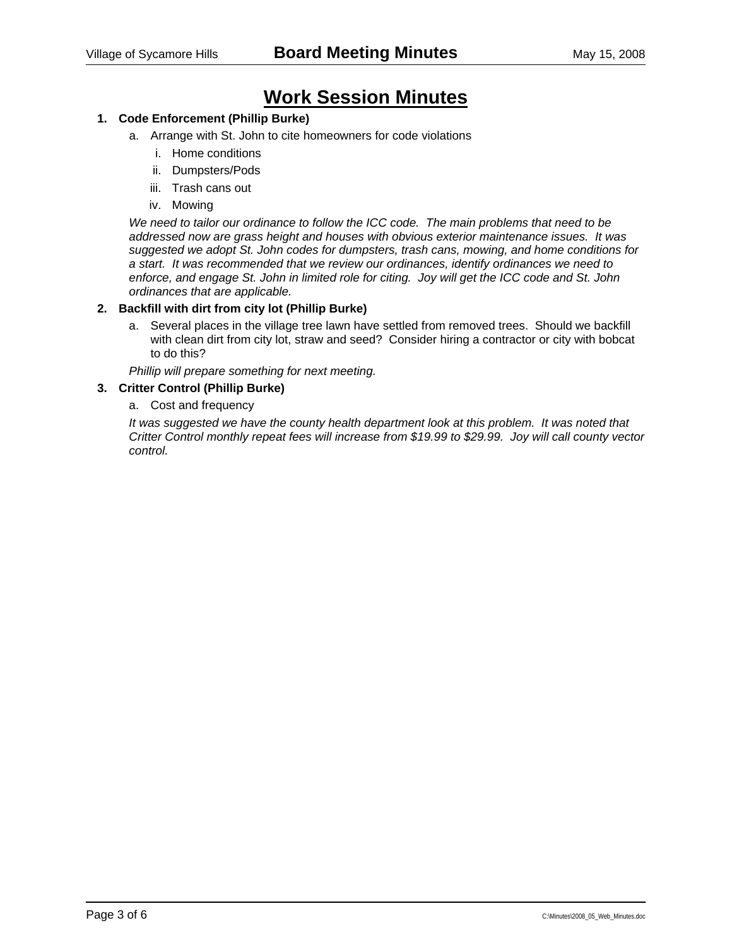# **Work Session Minutes**

### **1. Code Enforcement (Phillip Burke)**

- a. Arrange with St. John to cite homeowners for code violations
	- i. Home conditions
	- ii. Dumpsters/Pods
	- iii. Trash cans out
	- iv. Mowing

*We need to tailor our ordinance to follow the ICC code. The main problems that need to be addressed now are grass height and houses with obvious exterior maintenance issues. It was suggested we adopt St. John codes for dumpsters, trash cans, mowing, and home conditions for a start. It was recommended that we review our ordinances, identify ordinances we need to enforce, and engage St. John in limited role for citing. Joy will get the ICC code and St. John ordinances that are applicable.* 

#### **2. Backfill with dirt from city lot (Phillip Burke)**

a. Several places in the village tree lawn have settled from removed trees. Should we backfill with clean dirt from city lot, straw and seed? Consider hiring a contractor or city with bobcat to do this?

*Phillip will prepare something for next meeting.* 

#### **3. Critter Control (Phillip Burke)**

a. Cost and frequency

*It was suggested we have the county health department look at this problem. It was noted that Critter Control monthly repeat fees will increase from \$19.99 to \$29.99. Joy will call county vector control.*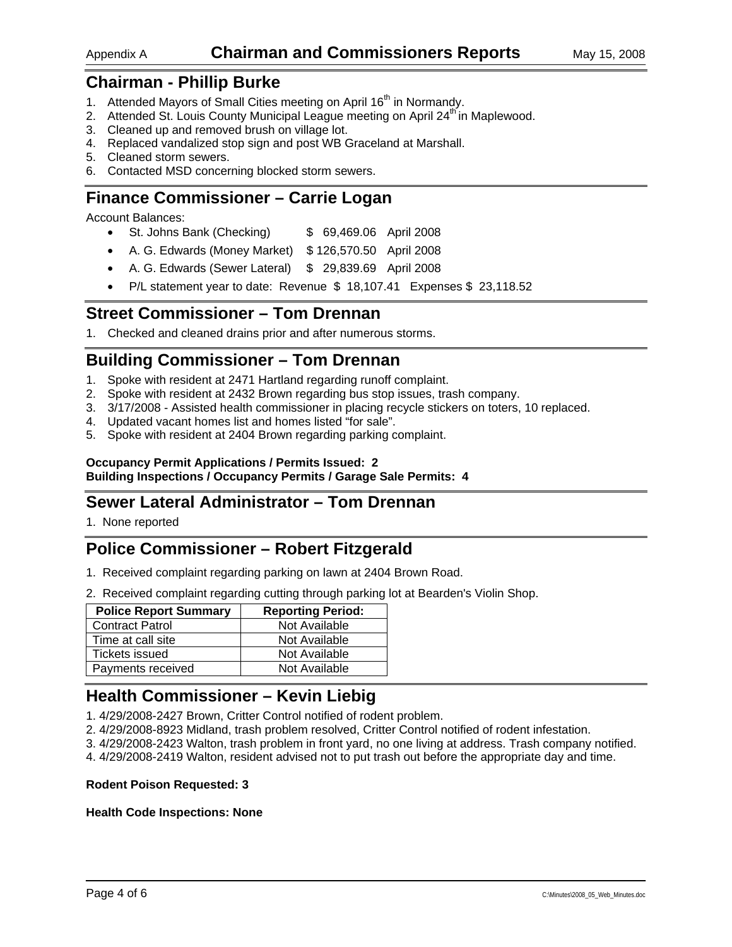### Appendix A **Chairman and Commissioners Reports** May 15, 2008

## **Chairman - Phillip Burke**

- 1. Attended Mayors of Small Cities meeting on April 16<sup>th</sup> in Normandy.
- 2. Attended St. Louis County Municipal League meeting on April 24<sup>th</sup> in Maplewood.
- 3. Cleaned up and removed brush on village lot.
- 4. Replaced vandalized stop sign and post WB Graceland at Marshall.
- 5. Cleaned storm sewers.
- 6. Contacted MSD concerning blocked storm sewers.

# **Finance Commissioner – Carrie Logan**

Account Balances:

- St. Johns Bank (Checking)  $$69,469.06$  April 2008
- A. G. Edwards (Money Market) \$ 126,570.50 April 2008
- A. G. Edwards (Sewer Lateral) \$ 29,839.69 April 2008
- P/L statement year to date: Revenue \$ 18,107.41 Expenses \$ 23,118.52

### **Street Commissioner – Tom Drennan**

1. Checked and cleaned drains prior and after numerous storms.

# **Building Commissioner – Tom Drennan**

- 1. Spoke with resident at 2471 Hartland regarding runoff complaint.
- 2. Spoke with resident at 2432 Brown regarding bus stop issues, trash company.
- 3. 3/17/2008 Assisted health commissioner in placing recycle stickers on toters, 10 replaced.
- 4. Updated vacant homes list and homes listed "for sale".
- 5. Spoke with resident at 2404 Brown regarding parking complaint.

#### **Occupancy Permit Applications / Permits Issued: 2 Building Inspections / Occupancy Permits / Garage Sale Permits: 4**

# **Sewer Lateral Administrator – Tom Drennan**

1. None reported

# **Police Commissioner – Robert Fitzgerald**

- 1. Received complaint regarding parking on lawn at 2404 Brown Road.
- 2. Received complaint regarding cutting through parking lot at Bearden's Violin Shop.

| <b>Police Report Summary</b> | <b>Reporting Period:</b> |
|------------------------------|--------------------------|
| <b>Contract Patrol</b>       | Not Available            |
| Time at call site            | Not Available            |
| Tickets issued               | Not Available            |
| Payments received            | Not Available            |

# **Health Commissioner – Kevin Liebig**

1. 4/29/2008-2427 Brown, Critter Control notified of rodent problem.

- 2. 4/29/2008-8923 Midland, trash problem resolved, Critter Control notified of rodent infestation.
- 3. 4/29/2008-2423 Walton, trash problem in front yard, no one living at address. Trash company notified.
- 4. 4/29/2008-2419 Walton, resident advised not to put trash out before the appropriate day and time.

#### **Rodent Poison Requested: 3**

#### **Health Code Inspections: None**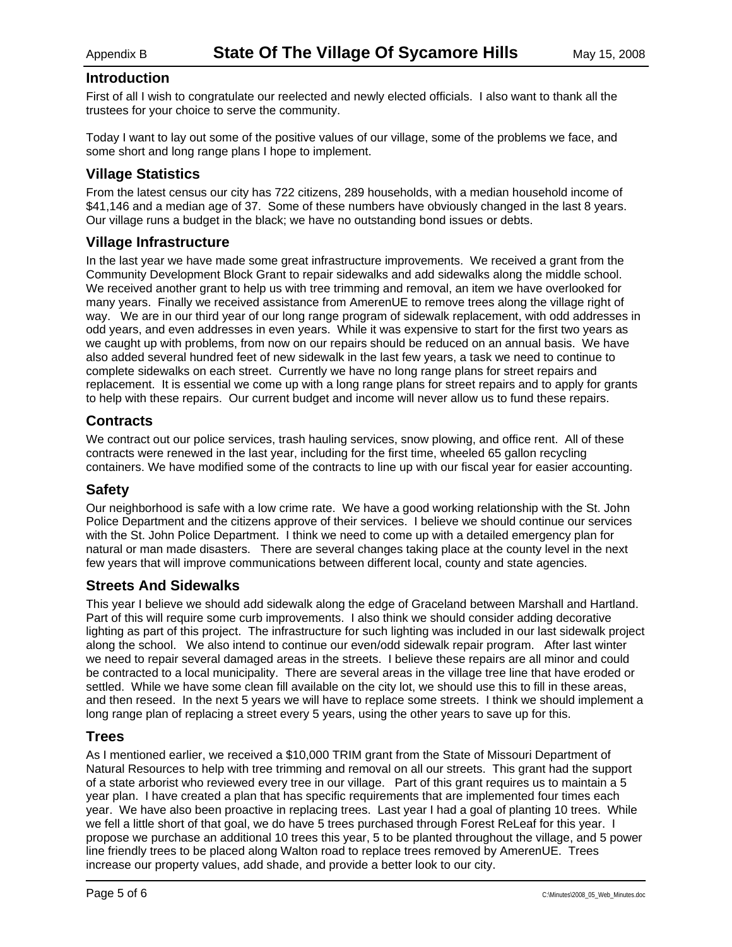### **Introduction**

First of all I wish to congratulate our reelected and newly elected officials. I also want to thank all the trustees for your choice to serve the community.

Today I want to lay out some of the positive values of our village, some of the problems we face, and some short and long range plans I hope to implement.

### **Village Statistics**

From the latest census our city has 722 citizens, 289 households, with a median household income of \$41,146 and a median age of 37. Some of these numbers have obviously changed in the last 8 years. Our village runs a budget in the black; we have no outstanding bond issues or debts.

### **Village Infrastructure**

In the last year we have made some great infrastructure improvements. We received a grant from the Community Development Block Grant to repair sidewalks and add sidewalks along the middle school. We received another grant to help us with tree trimming and removal, an item we have overlooked for many years. Finally we received assistance from AmerenUE to remove trees along the village right of way. We are in our third year of our long range program of sidewalk replacement, with odd addresses in odd years, and even addresses in even years. While it was expensive to start for the first two years as we caught up with problems, from now on our repairs should be reduced on an annual basis. We have also added several hundred feet of new sidewalk in the last few years, a task we need to continue to complete sidewalks on each street. Currently we have no long range plans for street repairs and replacement. It is essential we come up with a long range plans for street repairs and to apply for grants to help with these repairs. Our current budget and income will never allow us to fund these repairs.

### **Contracts**

We contract out our police services, trash hauling services, snow plowing, and office rent. All of these contracts were renewed in the last year, including for the first time, wheeled 65 gallon recycling containers. We have modified some of the contracts to line up with our fiscal year for easier accounting.

### **Safety**

Our neighborhood is safe with a low crime rate. We have a good working relationship with the St. John Police Department and the citizens approve of their services. I believe we should continue our services with the St. John Police Department. I think we need to come up with a detailed emergency plan for natural or man made disasters. There are several changes taking place at the county level in the next few years that will improve communications between different local, county and state agencies.

### **Streets And Sidewalks**

This year I believe we should add sidewalk along the edge of Graceland between Marshall and Hartland. Part of this will require some curb improvements. I also think we should consider adding decorative lighting as part of this project. The infrastructure for such lighting was included in our last sidewalk project along the school. We also intend to continue our even/odd sidewalk repair program. After last winter we need to repair several damaged areas in the streets. I believe these repairs are all minor and could be contracted to a local municipality. There are several areas in the village tree line that have eroded or settled. While we have some clean fill available on the city lot, we should use this to fill in these areas, and then reseed. In the next 5 years we will have to replace some streets. I think we should implement a long range plan of replacing a street every 5 years, using the other years to save up for this.

### **Trees**

As I mentioned earlier, we received a \$10,000 TRIM grant from the State of Missouri Department of Natural Resources to help with tree trimming and removal on all our streets. This grant had the support of a state arborist who reviewed every tree in our village. Part of this grant requires us to maintain a 5 year plan. I have created a plan that has specific requirements that are implemented four times each year. We have also been proactive in replacing trees. Last year I had a goal of planting 10 trees. While we fell a little short of that goal, we do have 5 trees purchased through Forest ReLeaf for this year. I propose we purchase an additional 10 trees this year, 5 to be planted throughout the village, and 5 power line friendly trees to be placed along Walton road to replace trees removed by AmerenUE. Trees increase our property values, add shade, and provide a better look to our city.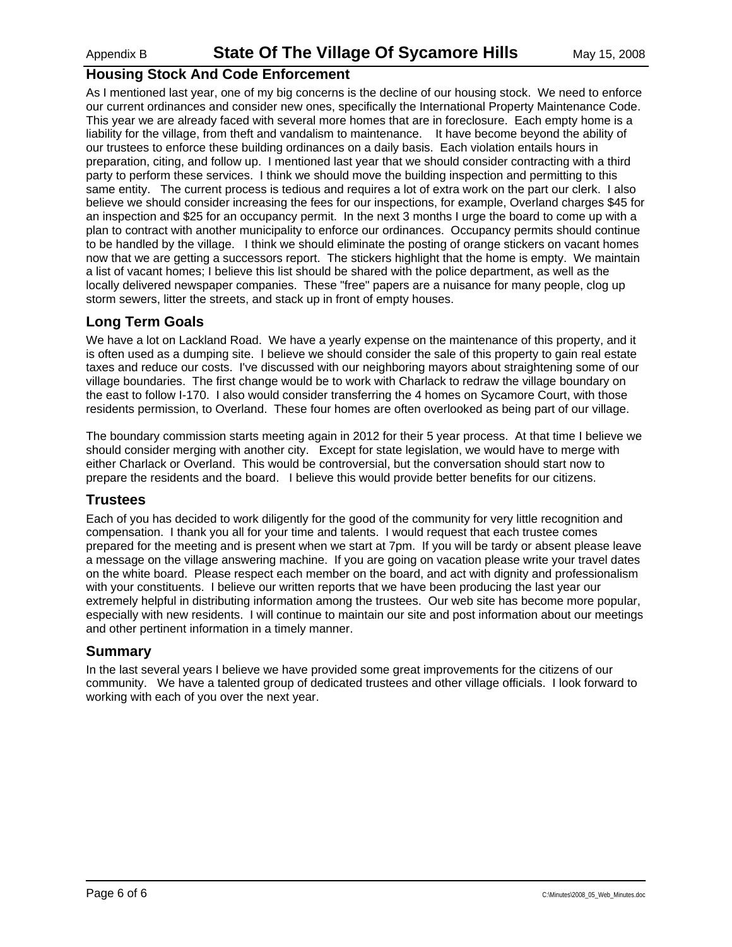### **Housing Stock And Code Enforcement**

As I mentioned last year, one of my big concerns is the decline of our housing stock. We need to enforce our current ordinances and consider new ones, specifically the International Property Maintenance Code. This year we are already faced with several more homes that are in foreclosure. Each empty home is a liability for the village, from theft and vandalism to maintenance. It have become beyond the ability of our trustees to enforce these building ordinances on a daily basis. Each violation entails hours in preparation, citing, and follow up. I mentioned last year that we should consider contracting with a third party to perform these services. I think we should move the building inspection and permitting to this same entity. The current process is tedious and requires a lot of extra work on the part our clerk. I also believe we should consider increasing the fees for our inspections, for example, Overland charges \$45 for an inspection and \$25 for an occupancy permit. In the next 3 months I urge the board to come up with a plan to contract with another municipality to enforce our ordinances. Occupancy permits should continue to be handled by the village. I think we should eliminate the posting of orange stickers on vacant homes now that we are getting a successors report. The stickers highlight that the home is empty. We maintain a list of vacant homes; I believe this list should be shared with the police department, as well as the locally delivered newspaper companies. These "free" papers are a nuisance for many people, clog up storm sewers, litter the streets, and stack up in front of empty houses.

### **Long Term Goals**

We have a lot on Lackland Road. We have a yearly expense on the maintenance of this property, and it is often used as a dumping site. I believe we should consider the sale of this property to gain real estate taxes and reduce our costs. I've discussed with our neighboring mayors about straightening some of our village boundaries. The first change would be to work with Charlack to redraw the village boundary on the east to follow I-170. I also would consider transferring the 4 homes on Sycamore Court, with those residents permission, to Overland. These four homes are often overlooked as being part of our village.

The boundary commission starts meeting again in 2012 for their 5 year process. At that time I believe we should consider merging with another city. Except for state legislation, we would have to merge with either Charlack or Overland. This would be controversial, but the conversation should start now to prepare the residents and the board. I believe this would provide better benefits for our citizens.

### **Trustees**

Each of you has decided to work diligently for the good of the community for very little recognition and compensation. I thank you all for your time and talents. I would request that each trustee comes prepared for the meeting and is present when we start at 7pm. If you will be tardy or absent please leave a message on the village answering machine. If you are going on vacation please write your travel dates on the white board. Please respect each member on the board, and act with dignity and professionalism with your constituents. I believe our written reports that we have been producing the last year our extremely helpful in distributing information among the trustees. Our web site has become more popular, especially with new residents. I will continue to maintain our site and post information about our meetings and other pertinent information in a timely manner.

### **Summary**

In the last several years I believe we have provided some great improvements for the citizens of our community. We have a talented group of dedicated trustees and other village officials. I look forward to working with each of you over the next year.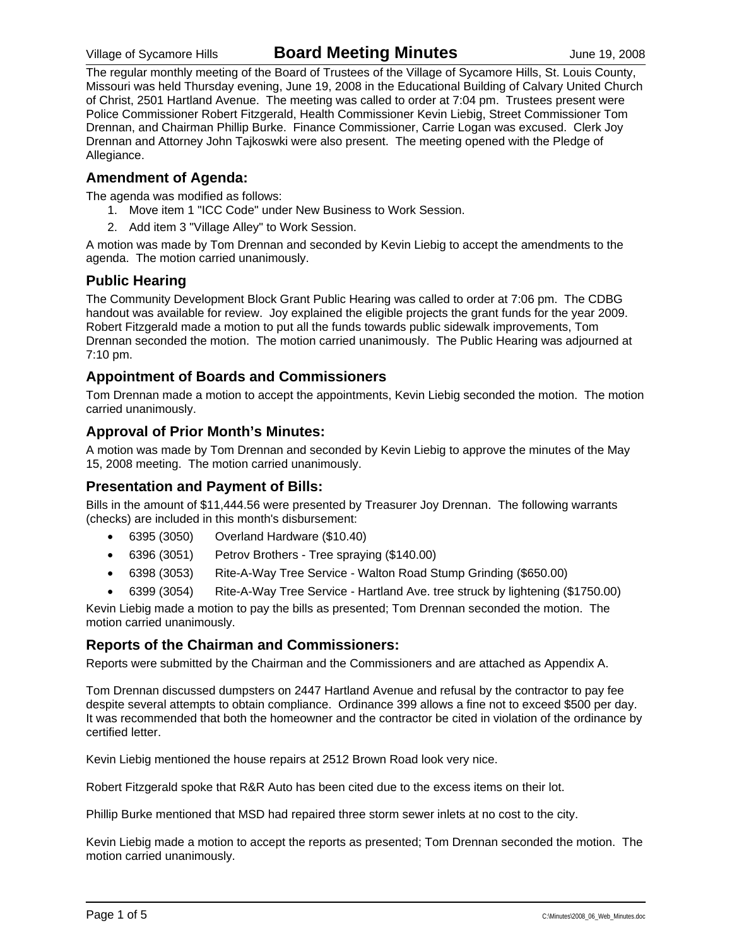The regular monthly meeting of the Board of Trustees of the Village of Sycamore Hills, St. Louis County, Missouri was held Thursday evening, June 19, 2008 in the Educational Building of Calvary United Church of Christ, 2501 Hartland Avenue. The meeting was called to order at 7:04 pm. Trustees present were Police Commissioner Robert Fitzgerald, Health Commissioner Kevin Liebig, Street Commissioner Tom Drennan, and Chairman Phillip Burke. Finance Commissioner, Carrie Logan was excused. Clerk Joy Drennan and Attorney John Tajkoswki were also present. The meeting opened with the Pledge of Allegiance.

### **Amendment of Agenda:**

The agenda was modified as follows:

- 1. Move item 1 "ICC Code" under New Business to Work Session.
- 2. Add item 3 "Village Alley" to Work Session.

A motion was made by Tom Drennan and seconded by Kevin Liebig to accept the amendments to the agenda. The motion carried unanimously.

### **Public Hearing**

The Community Development Block Grant Public Hearing was called to order at 7:06 pm. The CDBG handout was available for review. Joy explained the eligible projects the grant funds for the year 2009. Robert Fitzgerald made a motion to put all the funds towards public sidewalk improvements, Tom Drennan seconded the motion. The motion carried unanimously. The Public Hearing was adjourned at 7:10 pm.

### **Appointment of Boards and Commissioners**

Tom Drennan made a motion to accept the appointments, Kevin Liebig seconded the motion. The motion carried unanimously.

### **Approval of Prior Month's Minutes:**

A motion was made by Tom Drennan and seconded by Kevin Liebig to approve the minutes of the May 15, 2008 meeting. The motion carried unanimously.

### **Presentation and Payment of Bills:**

Bills in the amount of \$11,444.56 were presented by Treasurer Joy Drennan. The following warrants (checks) are included in this month's disbursement:

- 6395 (3050) Overland Hardware (\$10.40)
- 6396 (3051) Petrov Brothers Tree spraying (\$140.00)
- 6398 (3053) Rite-A-Way Tree Service Walton Road Stump Grinding (\$650.00)
- 6399 (3054) Rite-A-Way Tree Service Hartland Ave. tree struck by lightening (\$1750.00)

Kevin Liebig made a motion to pay the bills as presented; Tom Drennan seconded the motion. The motion carried unanimously.

### **Reports of the Chairman and Commissioners:**

Reports were submitted by the Chairman and the Commissioners and are attached as Appendix A.

Tom Drennan discussed dumpsters on 2447 Hartland Avenue and refusal by the contractor to pay fee despite several attempts to obtain compliance. Ordinance 399 allows a fine not to exceed \$500 per day. It was recommended that both the homeowner and the contractor be cited in violation of the ordinance by certified letter.

Kevin Liebig mentioned the house repairs at 2512 Brown Road look very nice.

Robert Fitzgerald spoke that R&R Auto has been cited due to the excess items on their lot.

Phillip Burke mentioned that MSD had repaired three storm sewer inlets at no cost to the city.

Kevin Liebig made a motion to accept the reports as presented; Tom Drennan seconded the motion. The motion carried unanimously.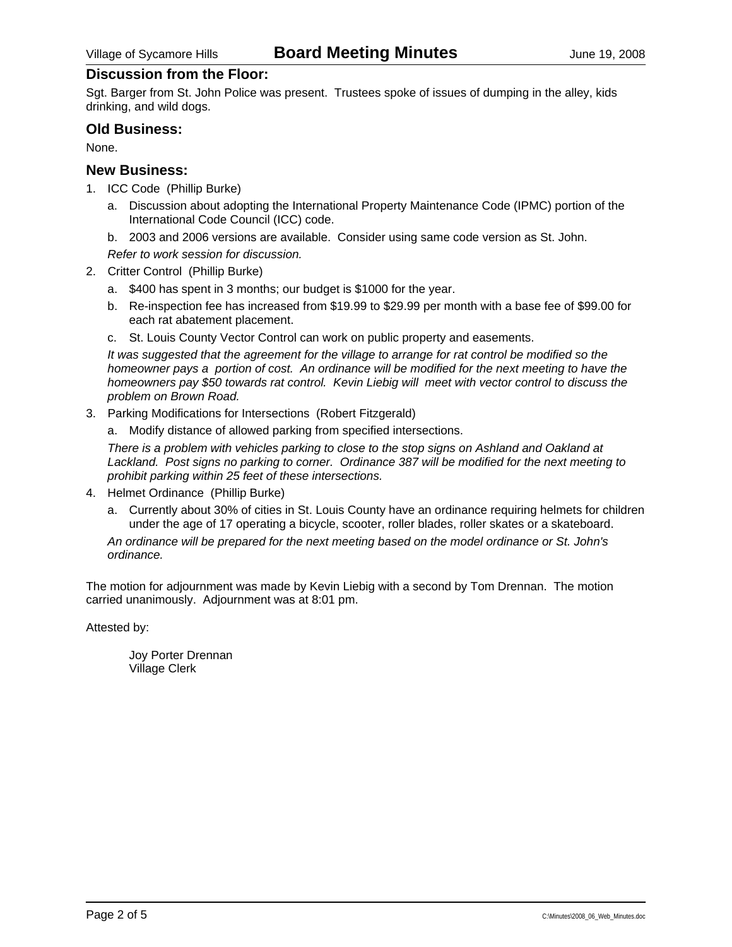### **Discussion from the Floor:**

Sgt. Barger from St. John Police was present. Trustees spoke of issues of dumping in the alley, kids drinking, and wild dogs.

### **Old Business:**

None.

### **New Business:**

- 1. ICC Code (Phillip Burke)
	- a. Discussion about adopting the International Property Maintenance Code (IPMC) portion of the International Code Council (ICC) code.
	- b. 2003 and 2006 versions are available. Consider using same code version as St. John.
	- *Refer to work session for discussion.*
- 2. Critter Control (Phillip Burke)
	- a. \$400 has spent in 3 months; our budget is \$1000 for the year.
	- b. Re-inspection fee has increased from \$19.99 to \$29.99 per month with a base fee of \$99.00 for each rat abatement placement.
	- c. St. Louis County Vector Control can work on public property and easements.

*It was suggested that the agreement for the village to arrange for rat control be modified so the homeowner pays a portion of cost. An ordinance will be modified for the next meeting to have the homeowners pay \$50 towards rat control. Kevin Liebig will meet with vector control to discuss the problem on Brown Road.* 

3. Parking Modifications for Intersections (Robert Fitzgerald)

a. Modify distance of allowed parking from specified intersections.

*There is a problem with vehicles parking to close to the stop signs on Ashland and Oakland at Lackland. Post signs no parking to corner. Ordinance 387 will be modified for the next meeting to prohibit parking within 25 feet of these intersections.* 

- 4. Helmet Ordinance (Phillip Burke)
	- a. Currently about 30% of cities in St. Louis County have an ordinance requiring helmets for children under the age of 17 operating a bicycle, scooter, roller blades, roller skates or a skateboard.

*An ordinance will be prepared for the next meeting based on the model ordinance or St. John's ordinance.* 

The motion for adjournment was made by Kevin Liebig with a second by Tom Drennan. The motion carried unanimously. Adjournment was at 8:01 pm.

Attested by: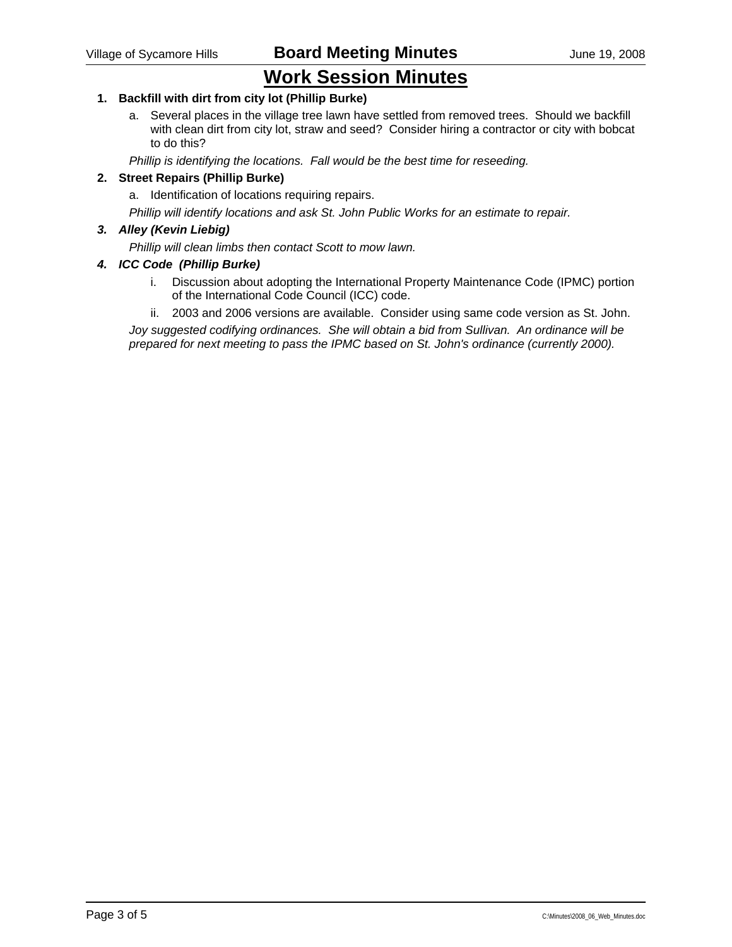# **Work Session Minutes**

### **1. Backfill with dirt from city lot (Phillip Burke)**

a. Several places in the village tree lawn have settled from removed trees. Should we backfill with clean dirt from city lot, straw and seed? Consider hiring a contractor or city with bobcat to do this?

*Phillip is identifying the locations. Fall would be the best time for reseeding.* 

#### **2. Street Repairs (Phillip Burke)**

a. Identification of locations requiring repairs.

*Phillip will identify locations and ask St. John Public Works for an estimate to repair.* 

#### *3. Alley (Kevin Liebig)*

*Phillip will clean limbs then contact Scott to mow lawn.* 

#### *4. ICC Code (Phillip Burke)*

- i. Discussion about adopting the International Property Maintenance Code (IPMC) portion of the International Code Council (ICC) code.
- ii. 2003 and 2006 versions are available. Consider using same code version as St. John.

*Joy suggested codifying ordinances. She will obtain a bid from Sullivan. An ordinance will be prepared for next meeting to pass the IPMC based on St. John's ordinance (currently 2000).*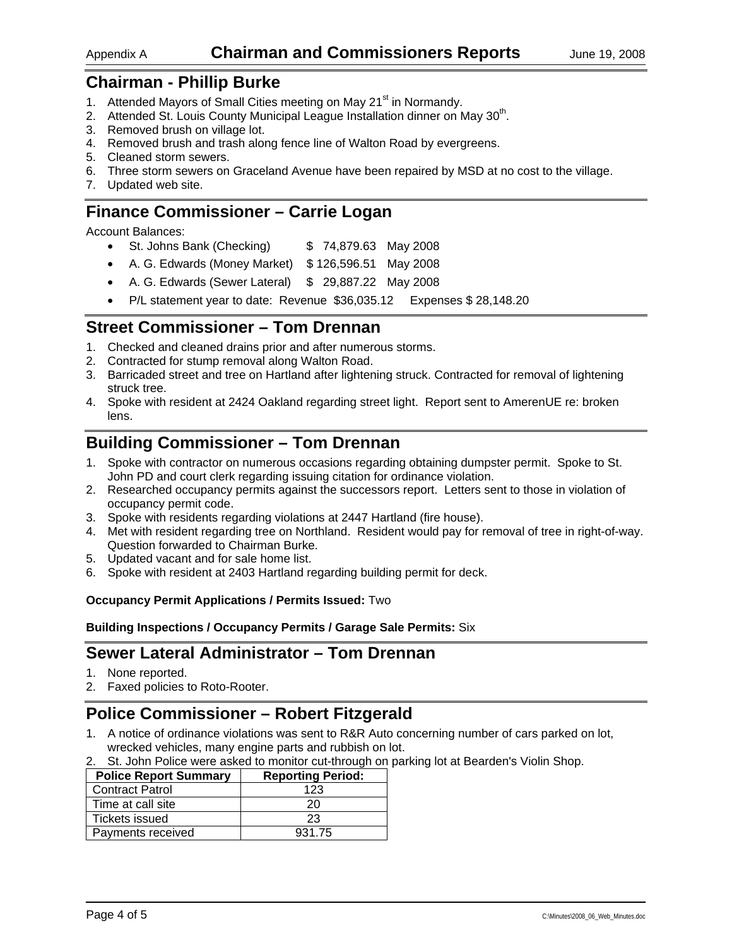### Appendix A **Chairman and Commissioners Reports** June 19, 2008

## **Chairman - Phillip Burke**

- 1. Attended Mayors of Small Cities meeting on May 21<sup>st</sup> in Normandy.
- 2. Attended St. Louis County Municipal League Installation dinner on May 30<sup>th</sup>.
- 3. Removed brush on village lot.
- 4. Removed brush and trash along fence line of Walton Road by evergreens.
- 5. Cleaned storm sewers.
- 6. Three storm sewers on Graceland Avenue have been repaired by MSD at no cost to the village.
- 7. Updated web site.

# **Finance Commissioner – Carrie Logan**

Account Balances:

- St. Johns Bank (Checking) \$ 74,879.63 May 2008
- A. G. Edwards (Money Market) \$ 126,596.51 May 2008
- A. G. Edwards (Sewer Lateral) \$ 29,887.22 May 2008
- P/L statement year to date: Revenue \$36,035.12 Expenses \$ 28,148.20

## **Street Commissioner – Tom Drennan**

- 1. Checked and cleaned drains prior and after numerous storms.
- 2. Contracted for stump removal along Walton Road.
- 3. Barricaded street and tree on Hartland after lightening struck. Contracted for removal of lightening struck tree.
- 4. Spoke with resident at 2424 Oakland regarding street light. Report sent to AmerenUE re: broken lens.

# **Building Commissioner – Tom Drennan**

- 1. Spoke with contractor on numerous occasions regarding obtaining dumpster permit. Spoke to St. John PD and court clerk regarding issuing citation for ordinance violation.
- 2. Researched occupancy permits against the successors report. Letters sent to those in violation of occupancy permit code.
- 3. Spoke with residents regarding violations at 2447 Hartland (fire house).
- 4. Met with resident regarding tree on Northland. Resident would pay for removal of tree in right-of-way. Question forwarded to Chairman Burke.
- 5. Updated vacant and for sale home list.
- 6. Spoke with resident at 2403 Hartland regarding building permit for deck.

### **Occupancy Permit Applications / Permits Issued:** Two

**Building Inspections / Occupancy Permits / Garage Sale Permits:** Six

# **Sewer Lateral Administrator – Tom Drennan**

- 1. None reported.
- 2. Faxed policies to Roto-Rooter.

# **Police Commissioner – Robert Fitzgerald**

- 1. A notice of ordinance violations was sent to R&R Auto concerning number of cars parked on lot, wrecked vehicles, many engine parts and rubbish on lot.
- 2. St. John Police were asked to monitor cut-through on parking lot at Bearden's Violin Shop.

| <b>Police Report Summary</b> | <b>Reporting Period:</b> |
|------------------------------|--------------------------|
| <b>Contract Patrol</b>       | 123                      |
| Time at call site            | 20                       |
| Tickets issued               | 23                       |
| Payments received            | 931.75                   |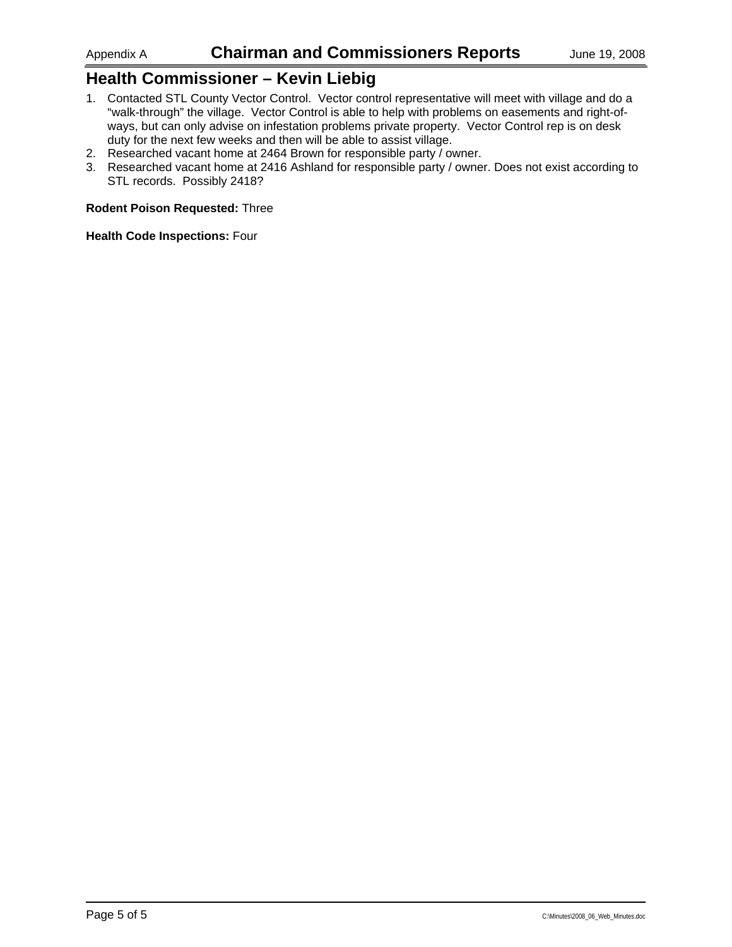# **Health Commissioner – Kevin Liebig**

- 1. Contacted STL County Vector Control. Vector control representative will meet with village and do a "walk-through" the village. Vector Control is able to help with problems on easements and right-ofways, but can only advise on infestation problems private property. Vector Control rep is on desk duty for the next few weeks and then will be able to assist village.
- 2. Researched vacant home at 2464 Brown for responsible party / owner.
- 3. Researched vacant home at 2416 Ashland for responsible party / owner. Does not exist according to STL records. Possibly 2418?

#### **Rodent Poison Requested:** Three

**Health Code Inspections:** Four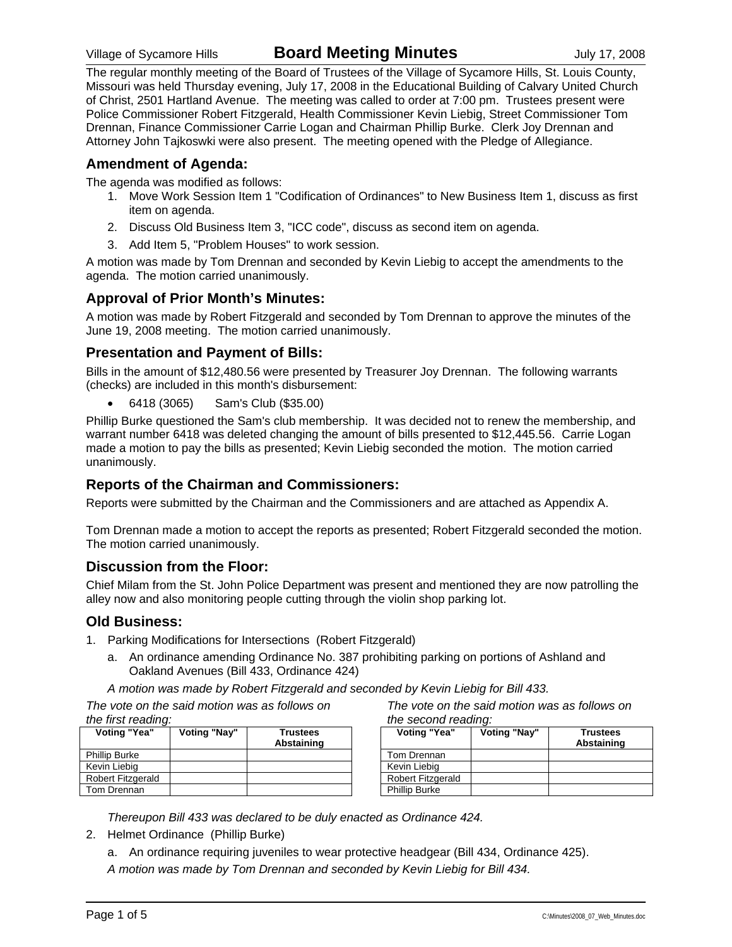The regular monthly meeting of the Board of Trustees of the Village of Sycamore Hills, St. Louis County, Missouri was held Thursday evening, July 17, 2008 in the Educational Building of Calvary United Church of Christ, 2501 Hartland Avenue. The meeting was called to order at 7:00 pm. Trustees present were Police Commissioner Robert Fitzgerald, Health Commissioner Kevin Liebig, Street Commissioner Tom Drennan, Finance Commissioner Carrie Logan and Chairman Phillip Burke. Clerk Joy Drennan and Attorney John Tajkoswki were also present. The meeting opened with the Pledge of Allegiance.

### **Amendment of Agenda:**

The agenda was modified as follows:

- 1. Move Work Session Item 1 "Codification of Ordinances" to New Business Item 1, discuss as first item on agenda.
- 2. Discuss Old Business Item 3, "ICC code", discuss as second item on agenda.
- 3. Add Item 5, "Problem Houses" to work session.

A motion was made by Tom Drennan and seconded by Kevin Liebig to accept the amendments to the agenda. The motion carried unanimously.

## **Approval of Prior Month's Minutes:**

A motion was made by Robert Fitzgerald and seconded by Tom Drennan to approve the minutes of the June 19, 2008 meeting. The motion carried unanimously.

### **Presentation and Payment of Bills:**

Bills in the amount of \$12,480.56 were presented by Treasurer Joy Drennan. The following warrants (checks) are included in this month's disbursement:

• 6418 (3065) Sam's Club (\$35.00)

Phillip Burke questioned the Sam's club membership. It was decided not to renew the membership, and warrant number 6418 was deleted changing the amount of bills presented to \$12,445.56. Carrie Logan made a motion to pay the bills as presented; Kevin Liebig seconded the motion. The motion carried unanimously.

### **Reports of the Chairman and Commissioners:**

Reports were submitted by the Chairman and the Commissioners and are attached as Appendix A.

Tom Drennan made a motion to accept the reports as presented; Robert Fitzgerald seconded the motion. The motion carried unanimously.

### **Discussion from the Floor:**

Chief Milam from the St. John Police Department was present and mentioned they are now patrolling the alley now and also monitoring people cutting through the violin shop parking lot.

### **Old Business:**

- 1. Parking Modifications for Intersections (Robert Fitzgerald)
	- a. An ordinance amending Ordinance No. 387 prohibiting parking on portions of Ashland and Oakland Avenues (Bill 433, Ordinance 424)

*A motion was made by Robert Fitzgerald and seconded by Kevin Liebig for Bill 433.* 

*The vote on the said motion was as follows on the first reading:* 

| Voting "Yea"             | Voting "Nay" | <b>Trustees</b><br>Abstaining |
|--------------------------|--------------|-------------------------------|
| <b>Phillip Burke</b>     |              |                               |
| Kevin Liebig             |              |                               |
| <b>Robert Fitzgerald</b> |              |                               |
| Tom Drennan              |              |                               |

*The vote on the said motion was as follows on the second reading:* 

| Voting "Yea"         | Voting "Nay" | Trustees<br>Abstaining |
|----------------------|--------------|------------------------|
| Tom Drennan          |              |                        |
| Kevin Liebig         |              |                        |
| Robert Fitzgerald    |              |                        |
| <b>Phillip Burke</b> |              |                        |

*Thereupon Bill 433 was declared to be duly enacted as Ordinance 424.* 

- 2. Helmet Ordinance (Phillip Burke)
	- a. An ordinance requiring juveniles to wear protective headgear (Bill 434, Ordinance 425).

*A motion was made by Tom Drennan and seconded by Kevin Liebig for Bill 434.*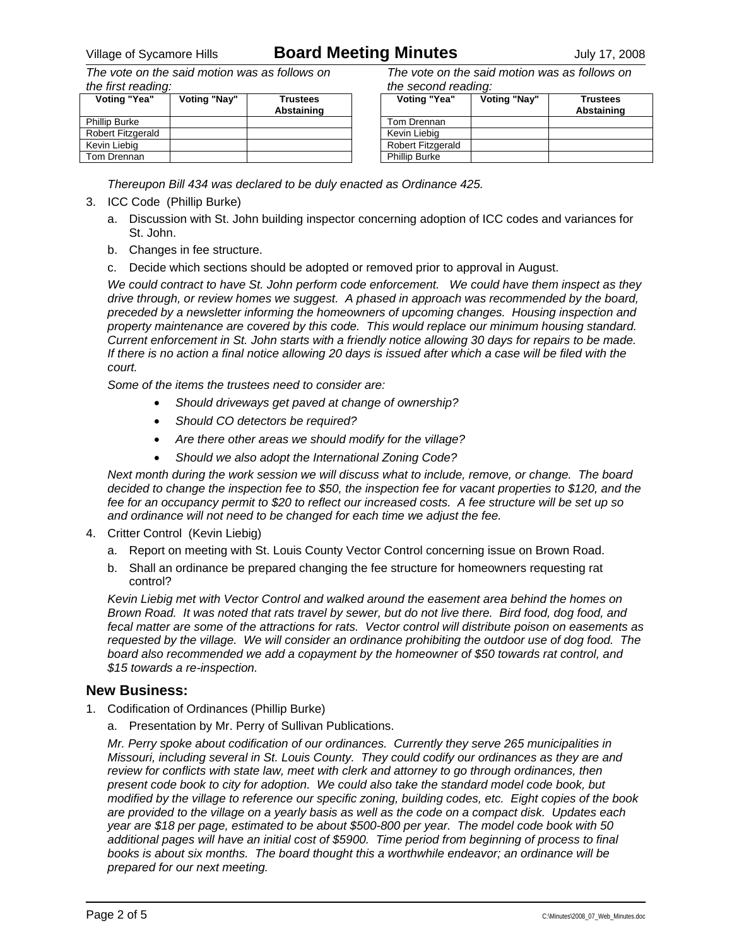# Village of Sycamore Hills **Board Meeting Minutes** July 17, 2008

*The vote on the said motion was as follows on the first reading:* 

| Voting "Yea"         | Voting "Nay" | <b>Trustees</b><br>Abstaining |
|----------------------|--------------|-------------------------------|
| <b>Phillip Burke</b> |              |                               |
| Robert Fitzgerald    |              |                               |
| Kevin Liebig         |              |                               |
| Tom Drennan          |              |                               |

*The vote on the said motion was as follows on the second reading:* 

| Voting "Yea"         | Voting "Nay" | <b>Trustees</b><br>Abstaining |
|----------------------|--------------|-------------------------------|
|                      |              |                               |
| Tom Drennan          |              |                               |
| Kevin Liebig         |              |                               |
| Robert Fitzgerald    |              |                               |
| <b>Phillip Burke</b> |              |                               |

*Thereupon Bill 434 was declared to be duly enacted as Ordinance 425.* 

#### 3. ICC Code (Phillip Burke)

- a. Discussion with St. John building inspector concerning adoption of ICC codes and variances for St. John.
- b. Changes in fee structure.
- c. Decide which sections should be adopted or removed prior to approval in August.

*We could contract to have St. John perform code enforcement. We could have them inspect as they drive through, or review homes we suggest. A phased in approach was recommended by the board, preceded by a newsletter informing the homeowners of upcoming changes. Housing inspection and property maintenance are covered by this code. This would replace our minimum housing standard. Current enforcement in St. John starts with a friendly notice allowing 30 days for repairs to be made. If there is no action a final notice allowing 20 days is issued after which a case will be filed with the court.* 

*Some of the items the trustees need to consider are:* 

- *Should driveways get paved at change of ownership?*
- *Should CO detectors be required?*
- *Are there other areas we should modify for the village?*
- *Should we also adopt the International Zoning Code?*

*Next month during the work session we will discuss what to include, remove, or change. The board decided to change the inspection fee to \$50, the inspection fee for vacant properties to \$120, and the fee for an occupancy permit to \$20 to reflect our increased costs. A fee structure will be set up so and ordinance will not need to be changed for each time we adjust the fee.* 

- 4. Critter Control (Kevin Liebig)
	- a. Report on meeting with St. Louis County Vector Control concerning issue on Brown Road.
	- b. Shall an ordinance be prepared changing the fee structure for homeowners requesting rat control?

*Kevin Liebig met with Vector Control and walked around the easement area behind the homes on Brown Road. It was noted that rats travel by sewer, but do not live there. Bird food, dog food, and fecal matter are some of the attractions for rats. Vector control will distribute poison on easements as requested by the village. We will consider an ordinance prohibiting the outdoor use of dog food. The board also recommended we add a copayment by the homeowner of \$50 towards rat control, and \$15 towards a re-inspection.* 

### **New Business:**

- 1. Codification of Ordinances (Phillip Burke)
	- a. Presentation by Mr. Perry of Sullivan Publications.

*Mr. Perry spoke about codification of our ordinances. Currently they serve 265 municipalities in Missouri, including several in St. Louis County. They could codify our ordinances as they are and review for conflicts with state law, meet with clerk and attorney to go through ordinances, then present code book to city for adoption. We could also take the standard model code book, but modified by the village to reference our specific zoning, building codes, etc. Eight copies of the book are provided to the village on a yearly basis as well as the code on a compact disk. Updates each year are \$18 per page, estimated to be about \$500-800 per year. The model code book with 50 additional pages will have an initial cost of \$5900. Time period from beginning of process to final books is about six months. The board thought this a worthwhile endeavor; an ordinance will be prepared for our next meeting.*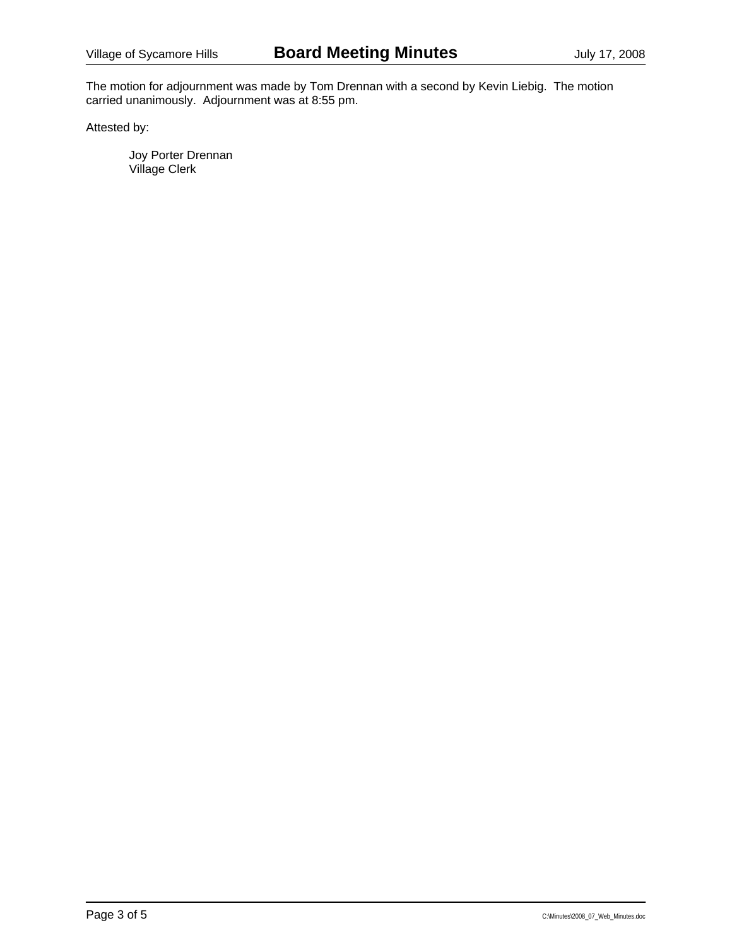The motion for adjournment was made by Tom Drennan with a second by Kevin Liebig. The motion carried unanimously. Adjournment was at 8:55 pm.

Attested by: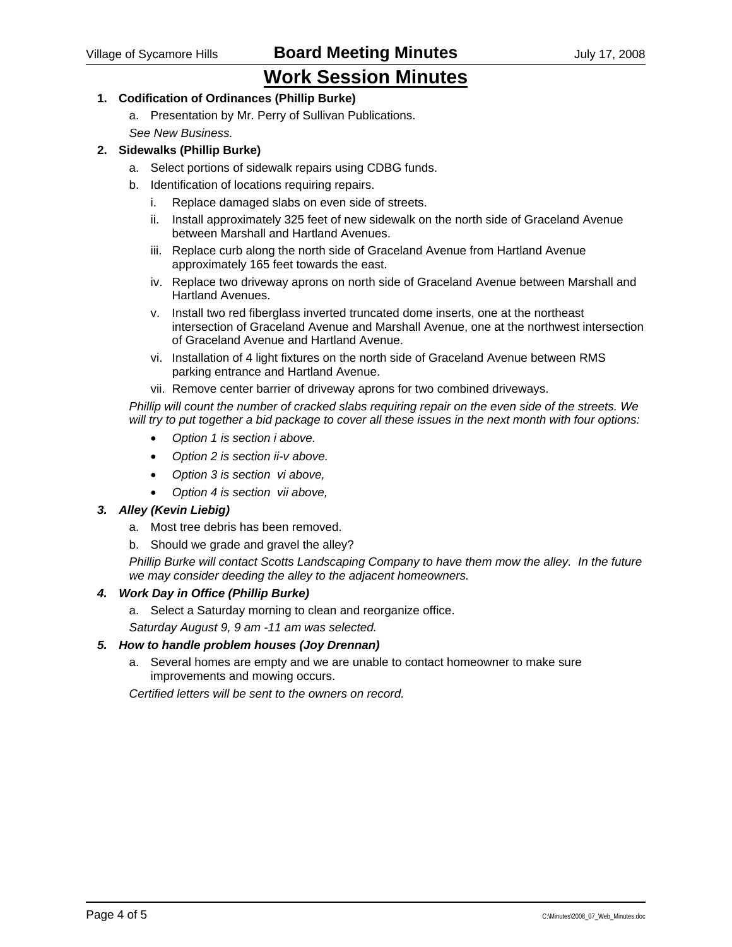# **Work Session Minutes**

### **1. Codification of Ordinances (Phillip Burke)**

- a. Presentation by Mr. Perry of Sullivan Publications.
- *See New Business.*

#### **2. Sidewalks (Phillip Burke)**

- a. Select portions of sidewalk repairs using CDBG funds.
- b. Identification of locations requiring repairs.
	- i. Replace damaged slabs on even side of streets.
	- ii. Install approximately 325 feet of new sidewalk on the north side of Graceland Avenue between Marshall and Hartland Avenues.
	- iii. Replace curb along the north side of Graceland Avenue from Hartland Avenue approximately 165 feet towards the east.
	- iv. Replace two driveway aprons on north side of Graceland Avenue between Marshall and Hartland Avenues.
	- v. Install two red fiberglass inverted truncated dome inserts, one at the northeast intersection of Graceland Avenue and Marshall Avenue, one at the northwest intersection of Graceland Avenue and Hartland Avenue.
	- vi. Installation of 4 light fixtures on the north side of Graceland Avenue between RMS parking entrance and Hartland Avenue.
	- vii. Remove center barrier of driveway aprons for two combined driveways.

*Phillip will count the number of cracked slabs requiring repair on the even side of the streets. We will try to put together a bid package to cover all these issues in the next month with four options:* 

- *Option 1 is section i above.*
- *Option 2 is section ii-v above.*
- *Option 3 is section vi above,*
- *Option 4 is section vii above,*

### *3. Alley (Kevin Liebig)*

- a. Most tree debris has been removed.
- b. Should we grade and gravel the alley?

*Phillip Burke will contact Scotts Landscaping Company to have them mow the alley. In the future we may consider deeding the alley to the adjacent homeowners.* 

### *4. Work Day in Office (Phillip Burke)*

- a. Select a Saturday morning to clean and reorganize office.
- *Saturday August 9, 9 am -11 am was selected.*

### *5. How to handle problem houses (Joy Drennan)*

a. Several homes are empty and we are unable to contact homeowner to make sure improvements and mowing occurs.

*Certified letters will be sent to the owners on record.*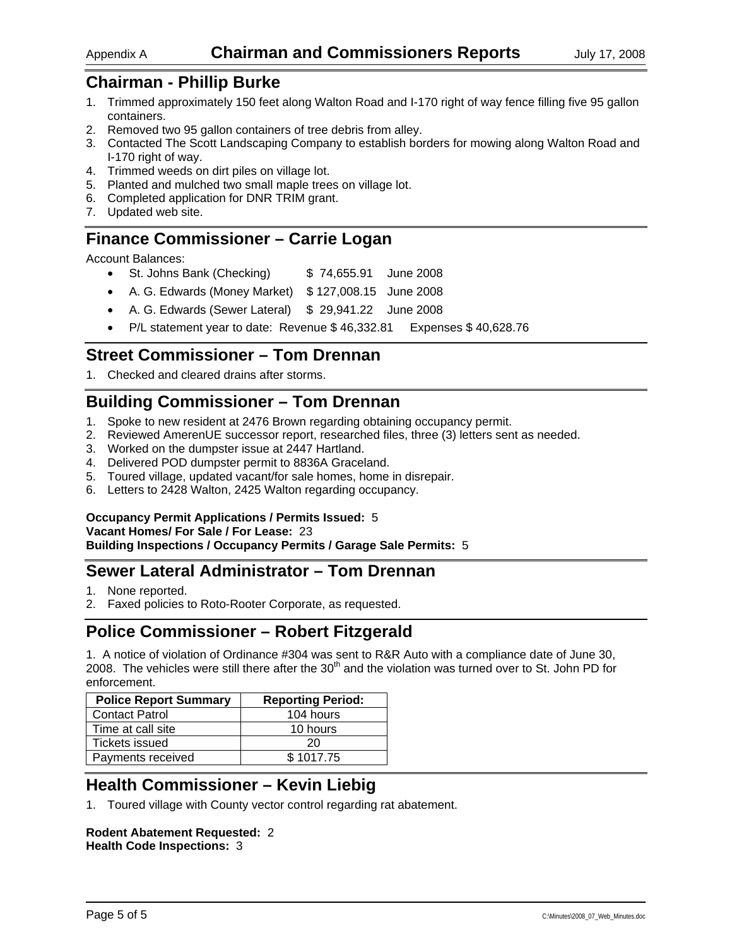# **Chairman - Phillip Burke**

- 1. Trimmed approximately 150 feet along Walton Road and I-170 right of way fence filling five 95 gallon containers.
- 2. Removed two 95 gallon containers of tree debris from alley.
- 3. Contacted The Scott Landscaping Company to establish borders for mowing along Walton Road and I-170 right of way.
- 4. Trimmed weeds on dirt piles on village lot.
- 5. Planted and mulched two small maple trees on village lot.
- 6. Completed application for DNR TRIM grant.
- 7. Updated web site.

# **Finance Commissioner – Carrie Logan**

Account Balances:

- St. Johns Bank (Checking)  $$74,655.91$  June 2008
- A. G. Edwards (Money Market) \$ 127,008.15 June 2008
- A. G. Edwards (Sewer Lateral) \$ 29,941.22 June 2008
- P/L statement year to date: Revenue \$ 46,332.81 Expenses \$ 40,628.76

## **Street Commissioner – Tom Drennan**

1. Checked and cleared drains after storms.

# **Building Commissioner – Tom Drennan**

- 1. Spoke to new resident at 2476 Brown regarding obtaining occupancy permit.
- 2. Reviewed AmerenUE successor report, researched files, three (3) letters sent as needed.
- 3. Worked on the dumpster issue at 2447 Hartland.
- 4. Delivered POD dumpster permit to 8836A Graceland.
- 5. Toured village, updated vacant/for sale homes, home in disrepair.
- 6. Letters to 2428 Walton, 2425 Walton regarding occupancy.

### **Occupancy Permit Applications / Permits Issued:** 5

#### **Vacant Homes/ For Sale / For Lease:** 23

**Building Inspections / Occupancy Permits / Garage Sale Permits:** 5

# **Sewer Lateral Administrator – Tom Drennan**

- 1. None reported.
- 2. Faxed policies to Roto-Rooter Corporate, as requested.

# **Police Commissioner – Robert Fitzgerald**

1. A notice of violation of Ordinance #304 was sent to R&R Auto with a compliance date of June 30, 2008. The vehicles were still there after the 30<sup>th</sup> and the violation was turned over to St. John PD for enforcement.

| <b>Police Report Summary</b> | <b>Reporting Period:</b> |
|------------------------------|--------------------------|
| <b>Contact Patrol</b>        | 104 hours                |
| Time at call site            | 10 hours                 |
| Tickets issued               | 20                       |
| Payments received            | \$1017.75                |

# **Health Commissioner – Kevin Liebig**

1. Toured village with County vector control regarding rat abatement.

#### **Rodent Abatement Requested:** 2 **Health Code Inspections:** 3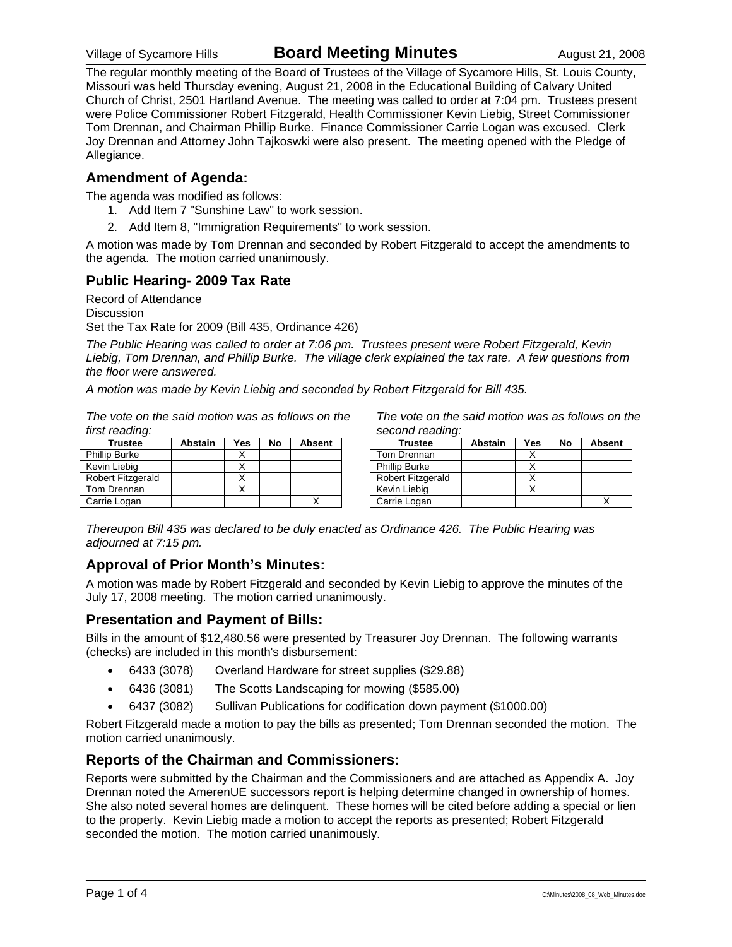# Village of Sycamore Hills **Board Meeting Minutes** August 21, 2008

The regular monthly meeting of the Board of Trustees of the Village of Sycamore Hills, St. Louis County, Missouri was held Thursday evening, August 21, 2008 in the Educational Building of Calvary United Church of Christ, 2501 Hartland Avenue. The meeting was called to order at 7:04 pm. Trustees present were Police Commissioner Robert Fitzgerald, Health Commissioner Kevin Liebig, Street Commissioner Tom Drennan, and Chairman Phillip Burke. Finance Commissioner Carrie Logan was excused. Clerk Joy Drennan and Attorney John Tajkoswki were also present. The meeting opened with the Pledge of Allegiance.

### **Amendment of Agenda:**

The agenda was modified as follows:

- 1. Add Item 7 "Sunshine Law" to work session.
- 2. Add Item 8, "Immigration Requirements" to work session.

A motion was made by Tom Drennan and seconded by Robert Fitzgerald to accept the amendments to the agenda. The motion carried unanimously.

### **Public Hearing- 2009 Tax Rate**

Record of Attendance **Discussion** Set the Tax Rate for 2009 (Bill 435, Ordinance 426)

*The Public Hearing was called to order at 7:06 pm. Trustees present were Robert Fitzgerald, Kevin Liebig, Tom Drennan, and Phillip Burke. The village clerk explained the tax rate. A few questions from the floor were answered.* 

*A motion was made by Kevin Liebig and seconded by Robert Fitzgerald for Bill 435.* 

*The vote on the said motion was as follows on the first reading:* 

*The vote on the said motion was as follows on the second reading:* 

| <b>Trustee</b>       | <b>Abstain</b> | Yes | No | <b>Absent</b> |
|----------------------|----------------|-----|----|---------------|
| <b>Phillip Burke</b> |                |     |    |               |
| Kevin Liebig         |                |     |    |               |
| Robert Fitzgerald    |                |     |    |               |
| Tom Drennan          |                |     |    |               |
| Carrie Logan         |                |     |    |               |

| <b>Trustee</b>           | <b>Abstain</b> | Yes | No | <b>Absent</b> |
|--------------------------|----------------|-----|----|---------------|
| Tom Drennan              |                |     |    |               |
| <b>Phillip Burke</b>     |                |     |    |               |
| <b>Robert Fitzgerald</b> |                |     |    |               |
| Kevin Liebig             |                |     |    |               |
| Carrie Logan             |                |     |    |               |

*Thereupon Bill 435 was declared to be duly enacted as Ordinance 426. The Public Hearing was adjourned at 7:15 pm.* 

### **Approval of Prior Month's Minutes:**

A motion was made by Robert Fitzgerald and seconded by Kevin Liebig to approve the minutes of the July 17, 2008 meeting. The motion carried unanimously.

### **Presentation and Payment of Bills:**

Bills in the amount of \$12,480.56 were presented by Treasurer Joy Drennan. The following warrants (checks) are included in this month's disbursement:

- 6433 (3078) Overland Hardware for street supplies (\$29.88)
- 6436 (3081) The Scotts Landscaping for mowing (\$585.00)
- 6437 (3082) Sullivan Publications for codification down payment (\$1000.00)

Robert Fitzgerald made a motion to pay the bills as presented; Tom Drennan seconded the motion. The motion carried unanimously.

### **Reports of the Chairman and Commissioners:**

Reports were submitted by the Chairman and the Commissioners and are attached as Appendix A. Joy Drennan noted the AmerenUE successors report is helping determine changed in ownership of homes. She also noted several homes are delinquent. These homes will be cited before adding a special or lien to the property. Kevin Liebig made a motion to accept the reports as presented; Robert Fitzgerald seconded the motion. The motion carried unanimously.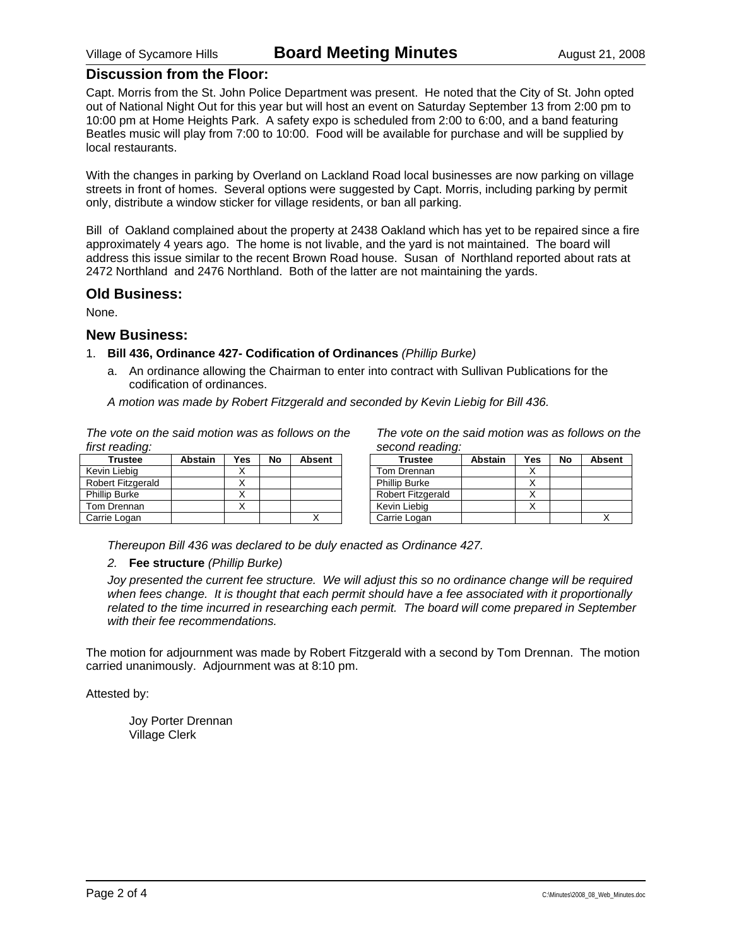### **Discussion from the Floor:**

Capt. Morris from the St. John Police Department was present. He noted that the City of St. John opted out of National Night Out for this year but will host an event on Saturday September 13 from 2:00 pm to 10:00 pm at Home Heights Park. A safety expo is scheduled from 2:00 to 6:00, and a band featuring Beatles music will play from 7:00 to 10:00. Food will be available for purchase and will be supplied by local restaurants.

With the changes in parking by Overland on Lackland Road local businesses are now parking on village streets in front of homes. Several options were suggested by Capt. Morris, including parking by permit only, distribute a window sticker for village residents, or ban all parking.

Bill of Oakland complained about the property at 2438 Oakland which has yet to be repaired since a fire approximately 4 years ago. The home is not livable, and the yard is not maintained. The board will address this issue similar to the recent Brown Road house. Susan of Northland reported about rats at 2472 Northland and 2476 Northland. Both of the latter are not maintaining the yards.

#### **Old Business:**

None.

#### **New Business:**

#### 1. **Bill 436, Ordinance 427- Codification of Ordinances** *(Phillip Burke)*

a. An ordinance allowing the Chairman to enter into contract with Sullivan Publications for the codification of ordinances.

*A motion was made by Robert Fitzgerald and seconded by Kevin Liebig for Bill 436.* 

*The vote on the said motion was as follows on the first reading:* 

| <b>Trustee</b>           | <b>Abstain</b> | Yes | No | <b>Absent</b> |
|--------------------------|----------------|-----|----|---------------|
| Kevin Liebia             |                |     |    |               |
| <b>Robert Fitzgerald</b> |                |     |    |               |
| <b>Phillip Burke</b>     |                |     |    |               |
| Tom Drennan              |                |     |    |               |
| Carrie Logan             |                |     |    |               |

*The vote on the said motion was as follows on the second reading:* 

| <b>Trustee</b>           | <b>Abstain</b> | Yes | No | <b>Absent</b> |
|--------------------------|----------------|-----|----|---------------|
| Tom Drennan              |                |     |    |               |
| <b>Phillip Burke</b>     |                |     |    |               |
| <b>Robert Fitzgerald</b> |                |     |    |               |
| Kevin Liebig             |                |     |    |               |
| Carrie Logan             |                |     |    |               |

*Thereupon Bill 436 was declared to be duly enacted as Ordinance 427.* 

#### *2.* **Fee structure** *(Phillip Burke)*

*Joy presented the current fee structure. We will adjust this so no ordinance change will be required when fees change. It is thought that each permit should have a fee associated with it proportionally related to the time incurred in researching each permit. The board will come prepared in September with their fee recommendations.* 

The motion for adjournment was made by Robert Fitzgerald with a second by Tom Drennan. The motion carried unanimously. Adjournment was at 8:10 pm.

Attested by: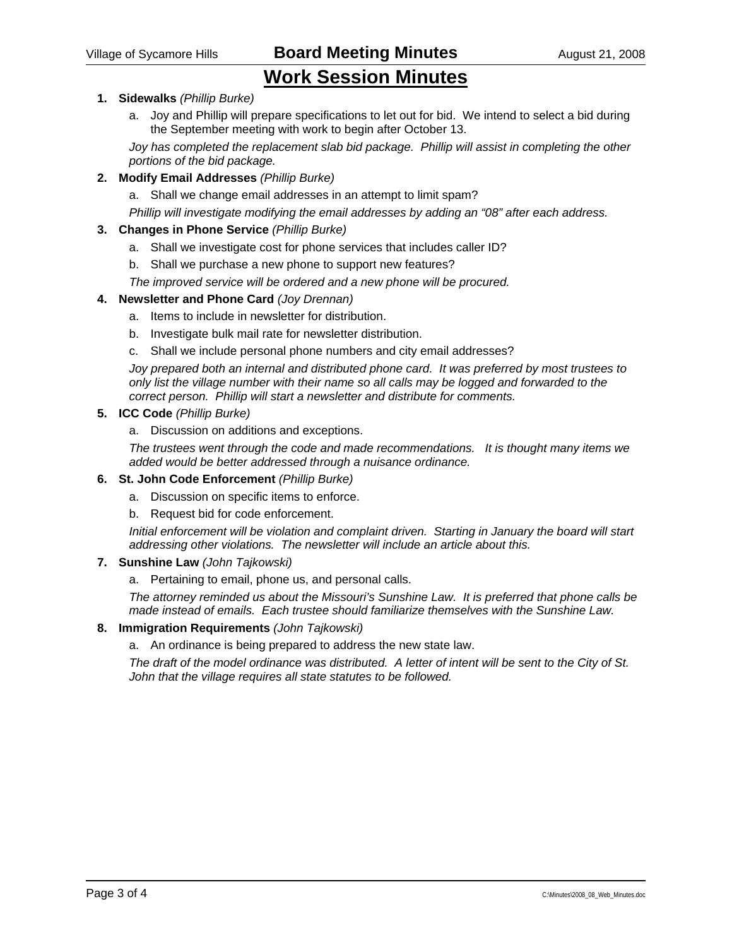Village of Sycamore Hills **Board Meeting Minutes** August 21, 2008

# **Work Session Minutes**

### **1. Sidewalks** *(Phillip Burke)*

a. Joy and Phillip will prepare specifications to let out for bid. We intend to select a bid during the September meeting with work to begin after October 13.

*Joy has completed the replacement slab bid package. Phillip will assist in completing the other portions of the bid package.* 

#### **2. Modify Email Addresses** *(Phillip Burke)*

a. Shall we change email addresses in an attempt to limit spam?

*Phillip will investigate modifying the email addresses by adding an "08" after each address.* 

#### **3. Changes in Phone Service** *(Phillip Burke)*

- a. Shall we investigate cost for phone services that includes caller ID?
- b. Shall we purchase a new phone to support new features?

*The improved service will be ordered and a new phone will be procured.* 

#### **4. Newsletter and Phone Card** *(Joy Drennan)*

- a. Items to include in newsletter for distribution.
- b. Investigate bulk mail rate for newsletter distribution.
- c. Shall we include personal phone numbers and city email addresses?

*Joy prepared both an internal and distributed phone card. It was preferred by most trustees to only list the village number with their name so all calls may be logged and forwarded to the correct person. Phillip will start a newsletter and distribute for comments.* 

#### **5. ICC Code** *(Phillip Burke)*

a. Discussion on additions and exceptions.

*The trustees went through the code and made recommendations. It is thought many items we added would be better addressed through a nuisance ordinance.* 

#### **6. St. John Code Enforcement** *(Phillip Burke)*

- a. Discussion on specific items to enforce.
- b. Request bid for code enforcement.

*Initial enforcement will be violation and complaint driven. Starting in January the board will start addressing other violations. The newsletter will include an article about this.* 

#### **7. Sunshine Law** *(John Tajkowski)*

a. Pertaining to email, phone us, and personal calls.

*The attorney reminded us about the Missouri's Sunshine Law. It is preferred that phone calls be made instead of emails. Each trustee should familiarize themselves with the Sunshine Law.* 

#### **8. Immigration Requirements** *(John Tajkowski)*

a. An ordinance is being prepared to address the new state law.

*The draft of the model ordinance was distributed. A letter of intent will be sent to the City of St. John that the village requires all state statutes to be followed.*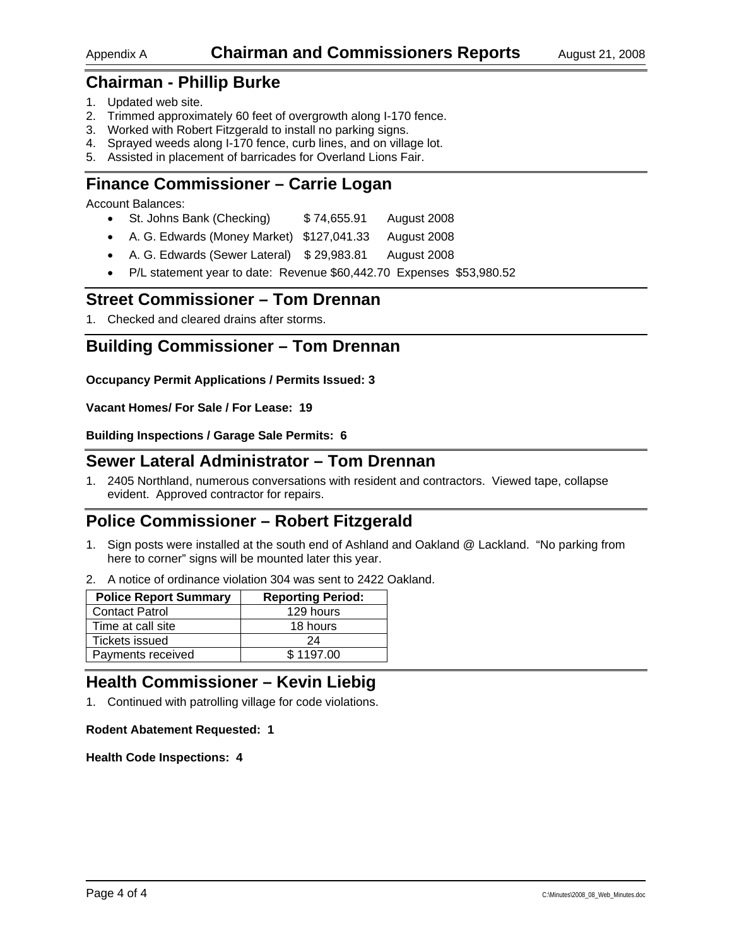# **Chairman - Phillip Burke**

- 1. Updated web site.
- 2. Trimmed approximately 60 feet of overgrowth along I-170 fence.
- 3. Worked with Robert Fitzgerald to install no parking signs.
- 4. Sprayed weeds along I-170 fence, curb lines, and on village lot.
- 5. Assisted in placement of barricades for Overland Lions Fair.

# **Finance Commissioner – Carrie Logan**

Account Balances:

- St. Johns Bank (Checking) \$74,655.91 August 2008
- A. G. Edwards (Money Market) \$127,041.33 August 2008
- A. G. Edwards (Sewer Lateral) \$ 29,983.81 August 2008
- P/L statement year to date: Revenue \$60,442.70 Expenses \$53,980.52

## **Street Commissioner – Tom Drennan**

1. Checked and cleared drains after storms.

# **Building Commissioner – Tom Drennan**

**Occupancy Permit Applications / Permits Issued: 3** 

**Vacant Homes/ For Sale / For Lease: 19** 

**Building Inspections / Garage Sale Permits: 6** 

## **Sewer Lateral Administrator – Tom Drennan**

1. 2405 Northland, numerous conversations with resident and contractors. Viewed tape, collapse evident. Approved contractor for repairs.

# **Police Commissioner – Robert Fitzgerald**

- 1. Sign posts were installed at the south end of Ashland and Oakland @ Lackland. "No parking from here to corner" signs will be mounted later this year.
- 2. A notice of ordinance violation 304 was sent to 2422 Oakland.

| <b>Police Report Summary</b> | <b>Reporting Period:</b> |
|------------------------------|--------------------------|
| <b>Contact Patrol</b>        | 129 hours                |
| Time at call site            | 18 hours                 |
| Tickets issued               | 24                       |
| Payments received            | \$1197.00                |

# **Health Commissioner – Kevin Liebig**

1. Continued with patrolling village for code violations.

#### **Rodent Abatement Requested: 1**

**Health Code Inspections: 4**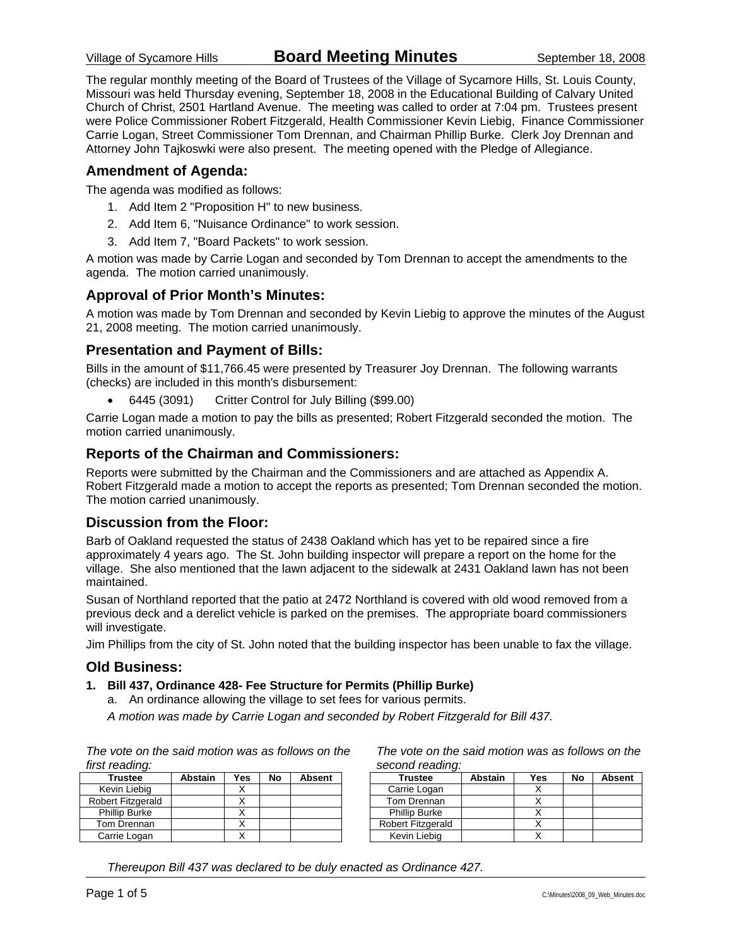The regular monthly meeting of the Board of Trustees of the Village of Sycamore Hills, St. Louis County, Missouri was held Thursday evening, September 18, 2008 in the Educational Building of Calvary United Church of Christ, 2501 Hartland Avenue. The meeting was called to order at 7:04 pm. Trustees present were Police Commissioner Robert Fitzgerald, Health Commissioner Kevin Liebig, Finance Commissioner Carrie Logan, Street Commissioner Tom Drennan, and Chairman Phillip Burke. Clerk Joy Drennan and Attorney John Tajkoswki were also present. The meeting opened with the Pledge of Allegiance.

### **Amendment of Agenda:**

The agenda was modified as follows:

- 1. Add Item 2 "Proposition H" to new business.
- 2. Add Item 6, "Nuisance Ordinance" to work session.
- 3. Add Item 7, "Board Packets" to work session.

A motion was made by Carrie Logan and seconded by Tom Drennan to accept the amendments to the agenda. The motion carried unanimously.

### **Approval of Prior Month's Minutes:**

A motion was made by Tom Drennan and seconded by Kevin Liebig to approve the minutes of the August 21, 2008 meeting. The motion carried unanimously.

### **Presentation and Payment of Bills:**

Bills in the amount of \$11,766.45 were presented by Treasurer Joy Drennan. The following warrants (checks) are included in this month's disbursement:

• 6445 (3091) Critter Control for July Billing (\$99.00)

Carrie Logan made a motion to pay the bills as presented; Robert Fitzgerald seconded the motion. The motion carried unanimously.

### **Reports of the Chairman and Commissioners:**

Reports were submitted by the Chairman and the Commissioners and are attached as Appendix A. Robert Fitzgerald made a motion to accept the reports as presented; Tom Drennan seconded the motion. The motion carried unanimously.

### **Discussion from the Floor:**

Barb of Oakland requested the status of 2438 Oakland which has yet to be repaired since a fire approximately 4 years ago. The St. John building inspector will prepare a report on the home for the village. She also mentioned that the lawn adjacent to the sidewalk at 2431 Oakland lawn has not been maintained.

Susan of Northland reported that the patio at 2472 Northland is covered with old wood removed from a previous deck and a derelict vehicle is parked on the premises. The appropriate board commissioners will investigate.

Jim Phillips from the city of St. John noted that the building inspector has been unable to fax the village.

#### **Old Business:**

#### **1. Bill 437, Ordinance 428- Fee Structure for Permits (Phillip Burke)**

a. An ordinance allowing the village to set fees for various permits.

*A motion was made by Carrie Logan and seconded by Robert Fitzgerald for Bill 437.* 

*The vote on the said motion was as follows on the first reading:* 

| <b>Trustee</b>       | <b>Abstain</b> | Yes | No | <b>Absent</b> |
|----------------------|----------------|-----|----|---------------|
| Kevin Liebig         |                |     |    |               |
| Robert Fitzgerald    |                |     |    |               |
| <b>Phillip Burke</b> |                |     |    |               |
| Tom Drennan          |                |     |    |               |
| Carrie Logan         |                |     |    |               |

*The vote on the said motion was as follows on the second reading:* 

| <b>Trustee</b>           | <b>Abstain</b> | Yes | No | <b>Absent</b> |
|--------------------------|----------------|-----|----|---------------|
| Carrie Logan             |                |     |    |               |
| Tom Drennan              |                |     |    |               |
| <b>Phillip Burke</b>     |                |     |    |               |
| <b>Robert Fitzgerald</b> |                |     |    |               |
| Kevin Liebig             |                |     |    |               |

*Thereupon Bill 437 was declared to be duly enacted as Ordinance 427.*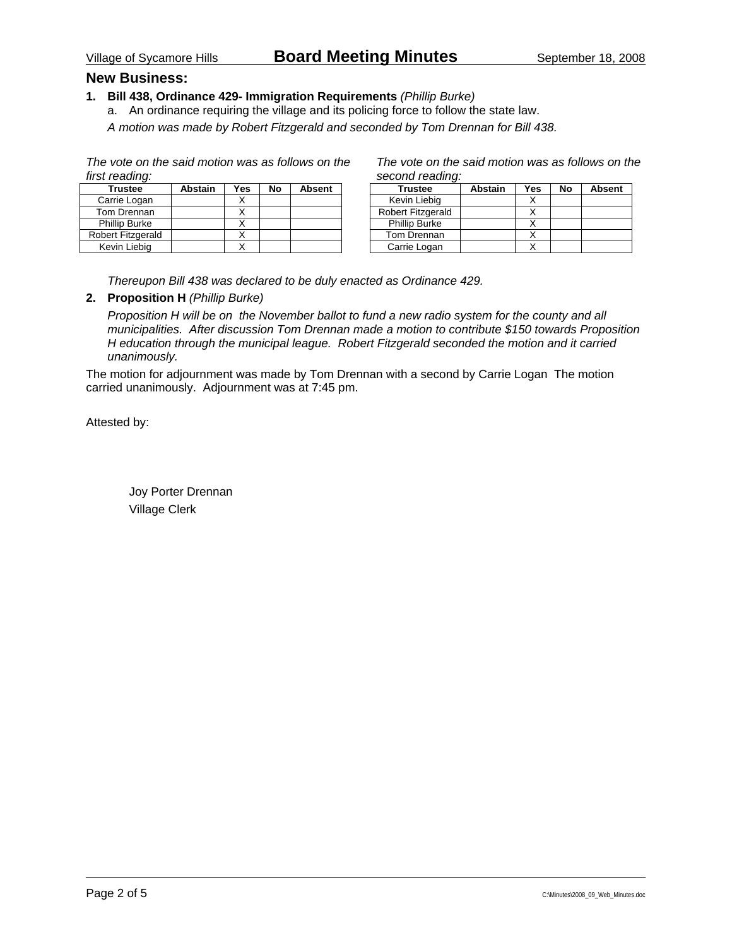### **New Business:**

#### **1. Bill 438, Ordinance 429- Immigration Requirements** *(Phillip Burke)*

a. An ordinance requiring the village and its policing force to follow the state law.

*A motion was made by Robert Fitzgerald and seconded by Tom Drennan for Bill 438.* 

*The vote on the said motion was as follows on the first reading:* 

| <b>Trustee</b>       | <b>Abstain</b> | Yes | No | <b>Absent</b> |
|----------------------|----------------|-----|----|---------------|
| Carrie Logan         |                |     |    |               |
| Tom Drennan          |                |     |    |               |
| <b>Phillip Burke</b> |                |     |    |               |
| Robert Fitzgerald    |                |     |    |               |
| Kevin Liebig         |                |     |    |               |

*The vote on the said motion was as follows on the second reading:* 

| <b>Trustee</b>       | <b>Abstain</b> | Yes | No | <b>Absent</b> |
|----------------------|----------------|-----|----|---------------|
| Kevin Liebig         |                |     |    |               |
| Robert Fitzgerald    |                |     |    |               |
| <b>Phillip Burke</b> |                |     |    |               |
| Tom Drennan          |                |     |    |               |
| Carrie Logan         |                |     |    |               |

*Thereupon Bill 438 was declared to be duly enacted as Ordinance 429.* 

#### **2. Proposition H** *(Phillip Burke)*

*Proposition H will be on the November ballot to fund a new radio system for the county and all municipalities. After discussion Tom Drennan made a motion to contribute \$150 towards Proposition H education through the municipal league. Robert Fitzgerald seconded the motion and it carried unanimously.* 

The motion for adjournment was made by Tom Drennan with a second by Carrie Logan The motion carried unanimously. Adjournment was at 7:45 pm.

Attested by: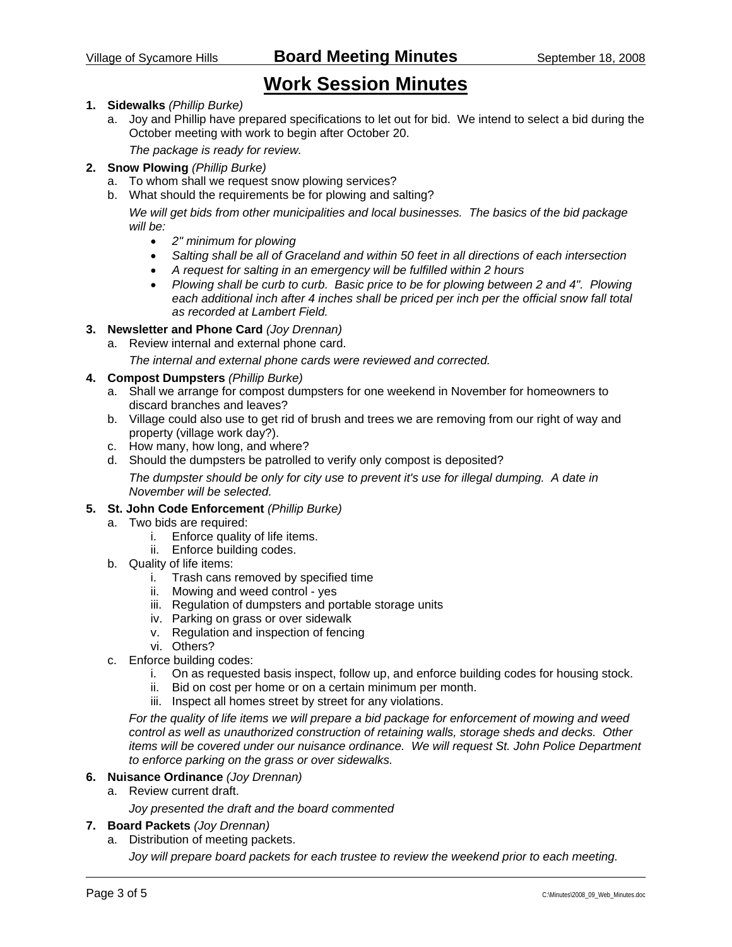# **Work Session Minutes**

#### **1. Sidewalks** *(Phillip Burke)*

a. Joy and Phillip have prepared specifications to let out for bid. We intend to select a bid during the October meeting with work to begin after October 20.

*The package is ready for review.* 

#### **2. Snow Plowing** *(Phillip Burke)*

- a. To whom shall we request snow plowing services?
- b. What should the requirements be for plowing and salting?

*We will get bids from other municipalities and local businesses. The basics of the bid package will be:* 

- *2" minimum for plowing*
- *Salting shall be all of Graceland and within 50 feet in all directions of each intersection*
- *A request for salting in an emergency will be fulfilled within 2 hours*
- *Plowing shall be curb to curb. Basic price to be for plowing between 2 and 4". Plowing each additional inch after 4 inches shall be priced per inch per the official snow fall total as recorded at Lambert Field.*
- **3. Newsletter and Phone Card** *(Joy Drennan)*
	- a. Review internal and external phone card.

*The internal and external phone cards were reviewed and corrected.* 

- **4. Compost Dumpsters** *(Phillip Burke)*
	- a. Shall we arrange for compost dumpsters for one weekend in November for homeowners to discard branches and leaves?
	- b. Village could also use to get rid of brush and trees we are removing from our right of way and property (village work day?).
	- c. How many, how long, and where?
	- d. Should the dumpsters be patrolled to verify only compost is deposited?

*The dumpster should be only for city use to prevent it's use for illegal dumping. A date in November will be selected.* 

#### **5. St. John Code Enforcement** *(Phillip Burke)*

- a. Two bids are required:
	- i. Enforce quality of life items.
	- ii. Enforce building codes.
- b. Quality of life items:
	- i. Trash cans removed by specified time
	- ii. Mowing and weed control yes
	- iii. Regulation of dumpsters and portable storage units
	- iv. Parking on grass or over sidewalk
	- v. Regulation and inspection of fencing
	- vi. Others?
- c. Enforce building codes:
	- i. On as requested basis inspect, follow up, and enforce building codes for housing stock.
	- ii. Bid on cost per home or on a certain minimum per month.
	- iii. Inspect all homes street by street for any violations.

*For the quality of life items we will prepare a bid package for enforcement of mowing and weed control as well as unauthorized construction of retaining walls, storage sheds and decks. Other items will be covered under our nuisance ordinance. We will request St. John Police Department to enforce parking on the grass or over sidewalks.* 

#### **6. Nuisance Ordinance** *(Joy Drennan)*

a. Review current draft.

*Joy presented the draft and the board commented* 

#### **7. Board Packets** *(Joy Drennan)*

a. Distribution of meeting packets.

*Joy will prepare board packets for each trustee to review the weekend prior to each meeting.*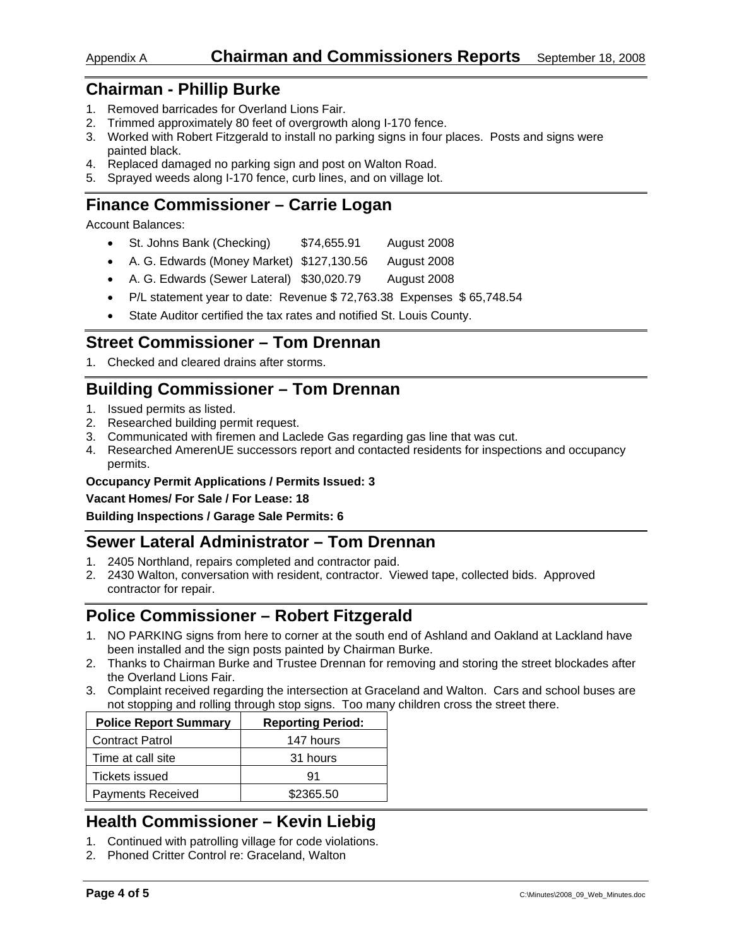### Appendix A **Chairman and Commissioners Reports** September 18, 2008

## **Chairman - Phillip Burke**

- 1. Removed barricades for Overland Lions Fair.
- 2. Trimmed approximately 80 feet of overgrowth along I-170 fence.
- 3. Worked with Robert Fitzgerald to install no parking signs in four places. Posts and signs were painted black.
- 4. Replaced damaged no parking sign and post on Walton Road.
- 5. Sprayed weeds along I-170 fence, curb lines, and on village lot.

# **Finance Commissioner – Carrie Logan**

Account Balances:

- St. Johns Bank (Checking) \$74,655.91 August 2008
- A. G. Edwards (Money Market) \$127,130.56 August 2008
- A. G. Edwards (Sewer Lateral) \$30,020.79 August 2008
- P/L statement year to date: Revenue \$ 72,763.38 Expenses \$ 65,748.54
- State Auditor certified the tax rates and notified St. Louis County.

# **Street Commissioner – Tom Drennan**

1. Checked and cleared drains after storms.

# **Building Commissioner – Tom Drennan**

- 1. Issued permits as listed.
- 2. Researched building permit request.
- 3. Communicated with firemen and Laclede Gas regarding gas line that was cut.
- 4. Researched AmerenUE successors report and contacted residents for inspections and occupancy permits.

#### **Occupancy Permit Applications / Permits Issued: 3**

#### **Vacant Homes/ For Sale / For Lease: 18**

#### **Building Inspections / Garage Sale Permits: 6**

# **Sewer Lateral Administrator – Tom Drennan**

- 1. 2405 Northland, repairs completed and contractor paid.
- 2. 2430 Walton, conversation with resident, contractor. Viewed tape, collected bids. Approved contractor for repair.

# **Police Commissioner – Robert Fitzgerald**

- 1. NO PARKING signs from here to corner at the south end of Ashland and Oakland at Lackland have been installed and the sign posts painted by Chairman Burke.
- 2. Thanks to Chairman Burke and Trustee Drennan for removing and storing the street blockades after the Overland Lions Fair.
- 3. Complaint received regarding the intersection at Graceland and Walton. Cars and school buses are not stopping and rolling through stop signs. Too many children cross the street there.

| <b>Police Report Summary</b> | <b>Reporting Period:</b> |
|------------------------------|--------------------------|
| <b>Contract Patrol</b>       | 147 hours                |
| Time at call site            | 31 hours                 |
| <b>Tickets issued</b>        | 91                       |
| <b>Payments Received</b>     | \$2365.50                |

# **Health Commissioner – Kevin Liebig**

- 1. Continued with patrolling village for code violations.
- 2. Phoned Critter Control re: Graceland, Walton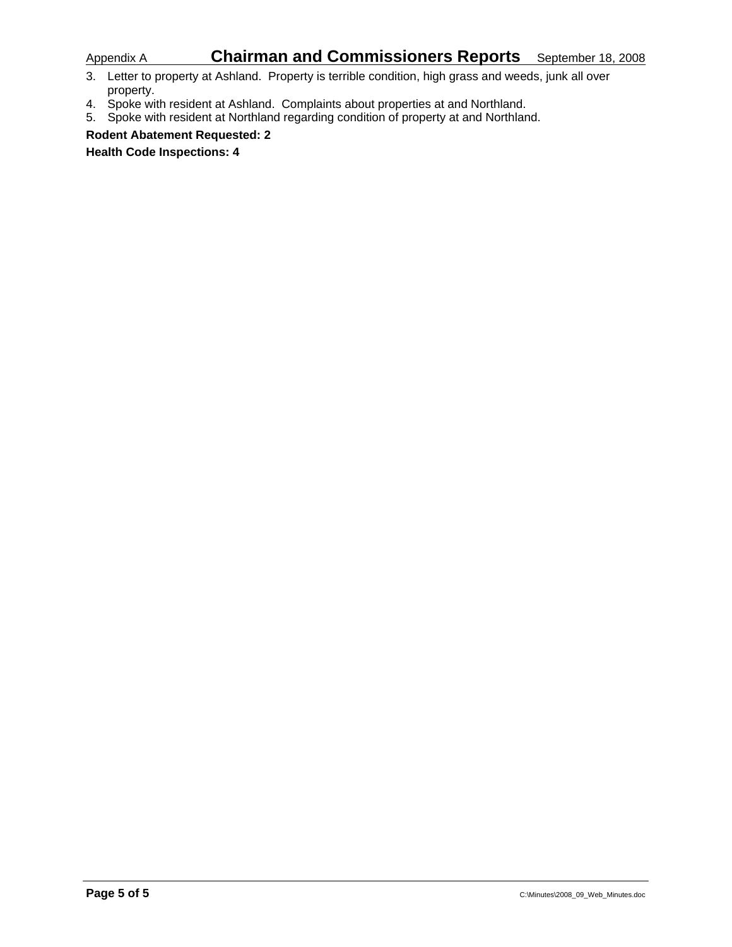# Appendix A **Chairman and Commissioners Reports** September 18, 2008

- 3. Letter to property at Ashland. Property is terrible condition, high grass and weeds, junk all over property.
- 4. Spoke with resident at Ashland. Complaints about properties at and Northland.
- 5. Spoke with resident at Northland regarding condition of property at and Northland.

**Rodent Abatement Requested: 2** 

**Health Code Inspections: 4**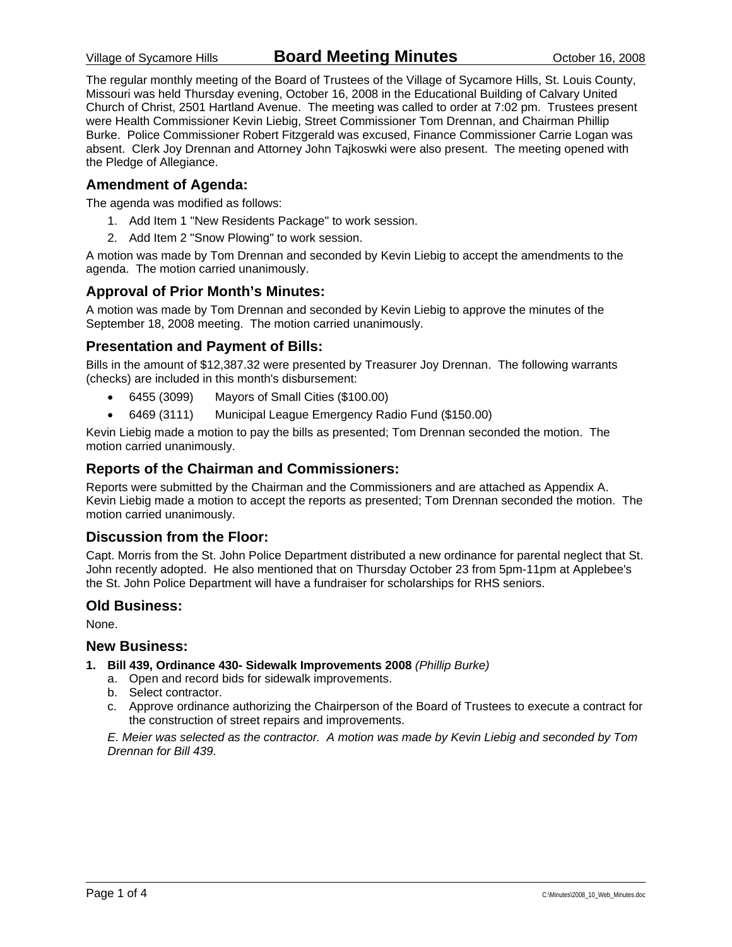The regular monthly meeting of the Board of Trustees of the Village of Sycamore Hills, St. Louis County, Missouri was held Thursday evening, October 16, 2008 in the Educational Building of Calvary United Church of Christ, 2501 Hartland Avenue. The meeting was called to order at 7:02 pm. Trustees present were Health Commissioner Kevin Liebig, Street Commissioner Tom Drennan, and Chairman Phillip Burke. Police Commissioner Robert Fitzgerald was excused, Finance Commissioner Carrie Logan was absent. Clerk Joy Drennan and Attorney John Tajkoswki were also present. The meeting opened with the Pledge of Allegiance.

### **Amendment of Agenda:**

The agenda was modified as follows:

- 1. Add Item 1 "New Residents Package" to work session.
- 2. Add Item 2 "Snow Plowing" to work session.

A motion was made by Tom Drennan and seconded by Kevin Liebig to accept the amendments to the agenda. The motion carried unanimously.

### **Approval of Prior Month's Minutes:**

A motion was made by Tom Drennan and seconded by Kevin Liebig to approve the minutes of the September 18, 2008 meeting. The motion carried unanimously.

### **Presentation and Payment of Bills:**

Bills in the amount of \$12,387.32 were presented by Treasurer Joy Drennan. The following warrants (checks) are included in this month's disbursement:

- 6455 (3099) Mayors of Small Cities (\$100.00)
- 6469 (3111) Municipal League Emergency Radio Fund (\$150.00)

Kevin Liebig made a motion to pay the bills as presented; Tom Drennan seconded the motion. The motion carried unanimously.

### **Reports of the Chairman and Commissioners:**

Reports were submitted by the Chairman and the Commissioners and are attached as Appendix A. Kevin Liebig made a motion to accept the reports as presented; Tom Drennan seconded the motion. The motion carried unanimously.

### **Discussion from the Floor:**

Capt. Morris from the St. John Police Department distributed a new ordinance for parental neglect that St. John recently adopted. He also mentioned that on Thursday October 23 from 5pm-11pm at Applebee's the St. John Police Department will have a fundraiser for scholarships for RHS seniors.

### **Old Business:**

None.

### **New Business:**

- **1. Bill 439, Ordinance 430- Sidewalk Improvements 2008** *(Phillip Burke)*
	- a. Open and record bids for sidewalk improvements.
	- b. Select contractor.
	- c. Approve ordinance authorizing the Chairperson of the Board of Trustees to execute a contract for the construction of street repairs and improvements.

*E. Meier was selected as the contractor. A motion was made by Kevin Liebig and seconded by Tom Drennan for Bill 439.*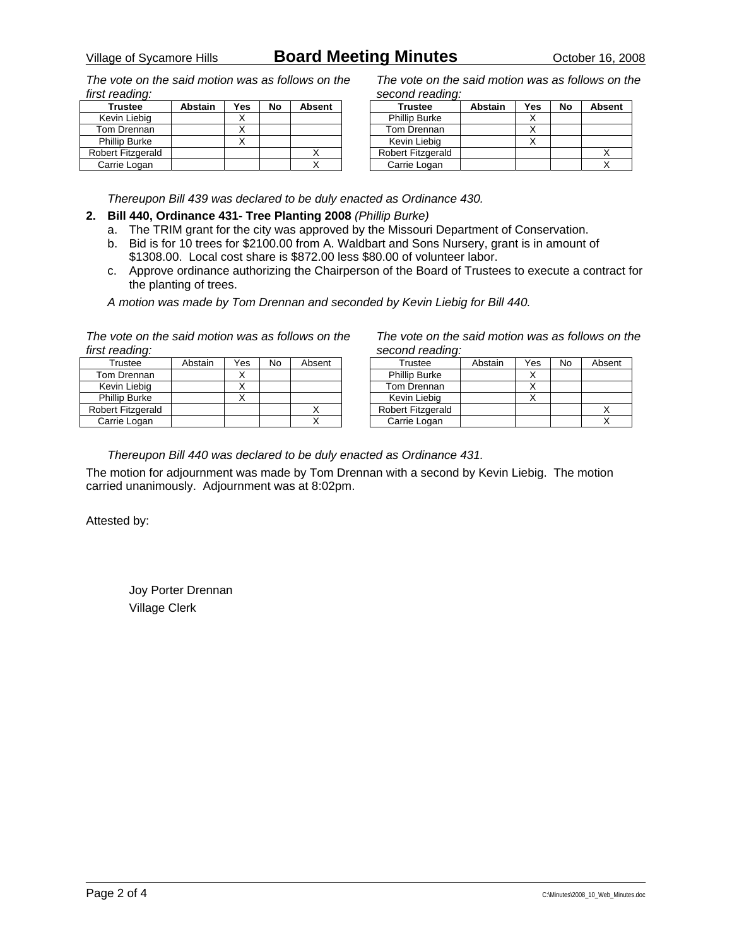*The vote on the said motion was as follows on the first reading:* 

| <b>Trustee</b>           | <b>Abstain</b> | Yes | No | <b>Absent</b> |
|--------------------------|----------------|-----|----|---------------|
| Kevin Liebig             |                |     |    |               |
| Tom Drennan              |                |     |    |               |
| <b>Phillip Burke</b>     |                |     |    |               |
| <b>Robert Fitzgerald</b> |                |     |    |               |
| Carrie Logan             |                |     |    |               |

*The vote on the said motion was as follows on the second reading:* 

| <b>Trustee</b>           | <b>Abstain</b> | Yes | No | <b>Absent</b> |
|--------------------------|----------------|-----|----|---------------|
| <b>Phillip Burke</b>     |                |     |    |               |
| Tom Drennan              |                |     |    |               |
| Kevin Liebig             |                |     |    |               |
| <b>Robert Fitzgerald</b> |                |     |    |               |
| Carrie Logan             |                |     |    |               |

*Thereupon Bill 439 was declared to be duly enacted as Ordinance 430.* 

#### **2. Bill 440, Ordinance 431- Tree Planting 2008** *(Phillip Burke)*

- a. The TRIM grant for the city was approved by the Missouri Department of Conservation.
- b. Bid is for 10 trees for \$2100.00 from A. Waldbart and Sons Nursery, grant is in amount of \$1308.00. Local cost share is \$872.00 less \$80.00 of volunteer labor.
- c. Approve ordinance authorizing the Chairperson of the Board of Trustees to execute a contract for the planting of trees.

*A motion was made by Tom Drennan and seconded by Kevin Liebig for Bill 440.* 

*The vote on the said motion was as follows on the first reading:* 

| Trustee              | Abstain | Yes | No | Absent |
|----------------------|---------|-----|----|--------|
| Tom Drennan          |         |     |    |        |
| Kevin Liebig         |         |     |    |        |
| <b>Phillip Burke</b> |         |     |    |        |
| Robert Fitzgerald    |         |     |    |        |
| Carrie Logan         |         |     |    |        |

*The vote on the said motion was as follows on the second reading:* 

| Trustee              | Abstain | Yes | No | Absent |
|----------------------|---------|-----|----|--------|
| <b>Phillip Burke</b> |         |     |    |        |
| Tom Drennan          |         |     |    |        |
| Kevin Liebig         |         |     |    |        |
| Robert Fitzgerald    |         |     |    |        |
| Carrie Logan         |         |     |    |        |

*Thereupon Bill 440 was declared to be duly enacted as Ordinance 431.* 

The motion for adjournment was made by Tom Drennan with a second by Kevin Liebig. The motion carried unanimously. Adjournment was at 8:02pm.

Attested by: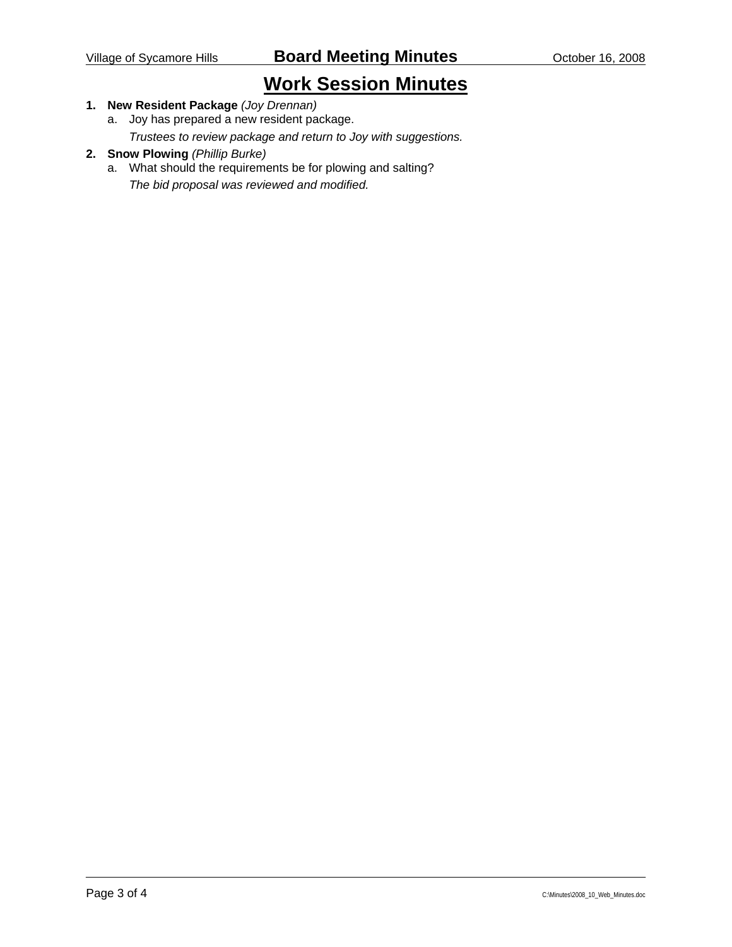# **Work Session Minutes**

### **1. New Resident Package** *(Joy Drennan)*

a. Joy has prepared a new resident package.

*Trustees to review package and return to Joy with suggestions.* 

#### **2. Snow Plowing** *(Phillip Burke)*

a. What should the requirements be for plowing and salting? *The bid proposal was reviewed and modified.*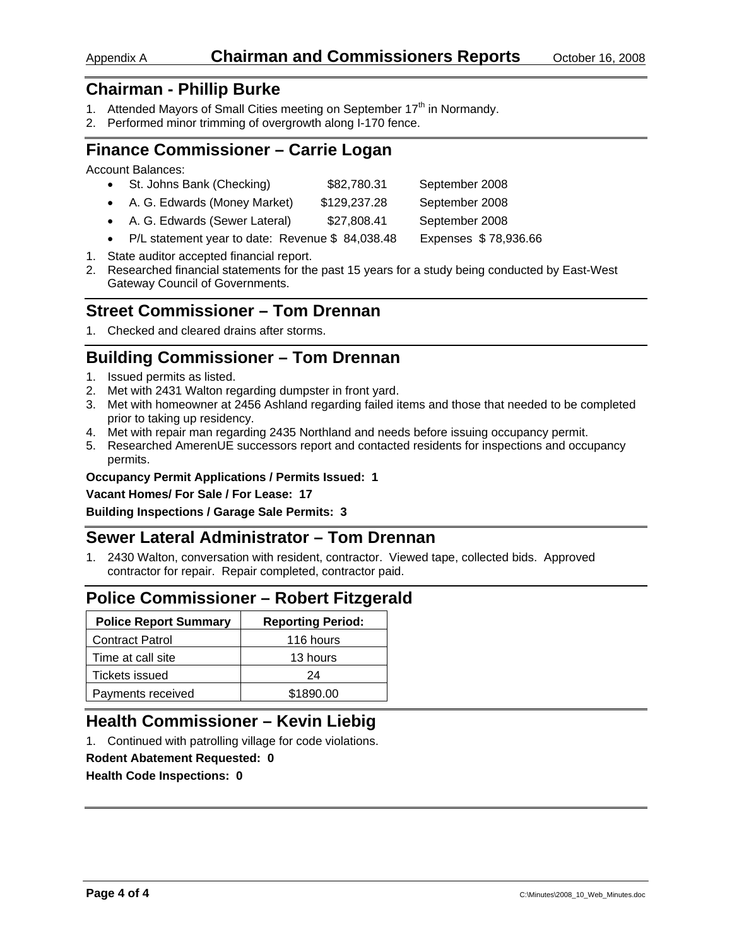## Appendix A **Chairman and Commissioners Reports** October 16, 2008

# **Chairman - Phillip Burke**

- 1. Attended Mayors of Small Cities meeting on September 17<sup>th</sup> in Normandy.
- 2. Performed minor trimming of overgrowth along I-170 fence.

# **Finance Commissioner – Carrie Logan**

Account Balances:

|  | St. Johns Bank (Checking) | \$82,780.31 | September 2008 |
|--|---------------------------|-------------|----------------|
|--|---------------------------|-------------|----------------|

- A. G. Edwards (Money Market) \$129,237.28 September 2008
- A. G. Edwards (Sewer Lateral)  $$27,808.41$  September 2008
- P/L statement year to date: Revenue \$ 84,038.48 Expenses \$ 78,936.66
- 1. State auditor accepted financial report.
- 2. Researched financial statements for the past 15 years for a study being conducted by East-West Gateway Council of Governments.

## **Street Commissioner – Tom Drennan**

1. Checked and cleared drains after storms.

# **Building Commissioner – Tom Drennan**

- 1. Issued permits as listed.
- 2. Met with 2431 Walton regarding dumpster in front yard.
- 3. Met with homeowner at 2456 Ashland regarding failed items and those that needed to be completed prior to taking up residency.
- 4. Met with repair man regarding 2435 Northland and needs before issuing occupancy permit.
- 5. Researched AmerenUE successors report and contacted residents for inspections and occupancy permits.

#### **Occupancy Permit Applications / Permits Issued: 1**

**Vacant Homes/ For Sale / For Lease: 17** 

**Building Inspections / Garage Sale Permits: 3** 

# **Sewer Lateral Administrator – Tom Drennan**

1. 2430 Walton, conversation with resident, contractor. Viewed tape, collected bids. Approved contractor for repair. Repair completed, contractor paid.

# **Police Commissioner – Robert Fitzgerald**

| <b>Police Report Summary</b> | <b>Reporting Period:</b> |
|------------------------------|--------------------------|
| <b>Contract Patrol</b>       | 116 hours                |
| Time at call site            | 13 hours                 |
| Tickets issued               | 24                       |
| Payments received            | \$1890.00                |

# **Health Commissioner – Kevin Liebig**

1. Continued with patrolling village for code violations.

#### **Rodent Abatement Requested: 0**

**Health Code Inspections: 0**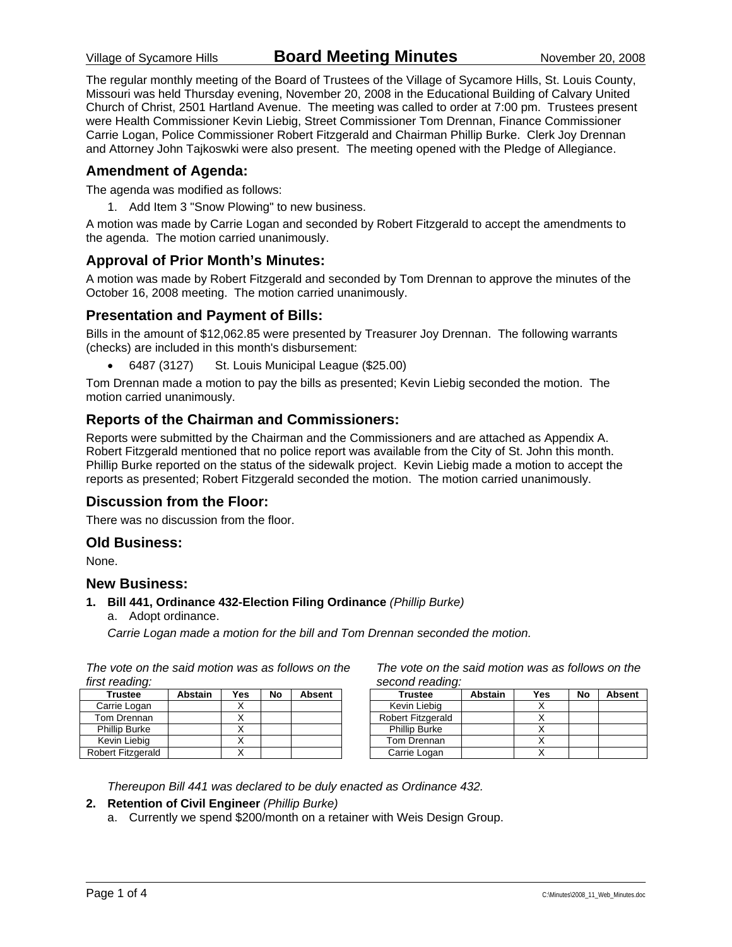The regular monthly meeting of the Board of Trustees of the Village of Sycamore Hills, St. Louis County, Missouri was held Thursday evening, November 20, 2008 in the Educational Building of Calvary United Church of Christ, 2501 Hartland Avenue. The meeting was called to order at 7:00 pm. Trustees present were Health Commissioner Kevin Liebig, Street Commissioner Tom Drennan, Finance Commissioner Carrie Logan, Police Commissioner Robert Fitzgerald and Chairman Phillip Burke. Clerk Joy Drennan and Attorney John Tajkoswki were also present. The meeting opened with the Pledge of Allegiance.

### **Amendment of Agenda:**

The agenda was modified as follows:

1. Add Item 3 "Snow Plowing" to new business.

A motion was made by Carrie Logan and seconded by Robert Fitzgerald to accept the amendments to the agenda. The motion carried unanimously.

### **Approval of Prior Month's Minutes:**

A motion was made by Robert Fitzgerald and seconded by Tom Drennan to approve the minutes of the October 16, 2008 meeting. The motion carried unanimously.

### **Presentation and Payment of Bills:**

Bills in the amount of \$12,062.85 were presented by Treasurer Joy Drennan. The following warrants (checks) are included in this month's disbursement:

• 6487 (3127) St. Louis Municipal League (\$25.00)

Tom Drennan made a motion to pay the bills as presented; Kevin Liebig seconded the motion. The motion carried unanimously.

### **Reports of the Chairman and Commissioners:**

Reports were submitted by the Chairman and the Commissioners and are attached as Appendix A. Robert Fitzgerald mentioned that no police report was available from the City of St. John this month. Phillip Burke reported on the status of the sidewalk project. Kevin Liebig made a motion to accept the reports as presented; Robert Fitzgerald seconded the motion. The motion carried unanimously.

### **Discussion from the Floor:**

There was no discussion from the floor.

### **Old Business:**

None.

#### **New Business:**

#### **1. Bill 441, Ordinance 432-Election Filing Ordinance** *(Phillip Burke)*

a. Adopt ordinance.

*Carrie Logan made a motion for the bill and Tom Drennan seconded the motion.* 

| first reading:       |                |     |    |        |
|----------------------|----------------|-----|----|--------|
| <b>Trustee</b>       | <b>Abstain</b> | Yes | No | Absent |
| Carrie Logan         |                |     |    |        |
| Tom Drennan          |                |     |    |        |
| <b>Phillip Burke</b> |                |     |    |        |
| Kevin Liebig         |                |     |    |        |
| Robert Fitzgerald    |                |     |    |        |

*The vote on the said motion was as follows on the* 

*The vote on the said motion was as follows on the second reading:* 

| <b>Trustee</b>       | <b>Abstain</b> | Yes | No | <b>Absent</b> |
|----------------------|----------------|-----|----|---------------|
| Kevin Liebig         |                |     |    |               |
| Robert Fitzgerald    |                |     |    |               |
| <b>Phillip Burke</b> |                |     |    |               |
| Tom Drennan          |                |     |    |               |
| Carrie Logan         |                |     |    |               |

*Thereupon Bill 441 was declared to be duly enacted as Ordinance 432.* 

#### **2. Retention of Civil Engineer** *(Phillip Burke)*

a. Currently we spend \$200/month on a retainer with Weis Design Group.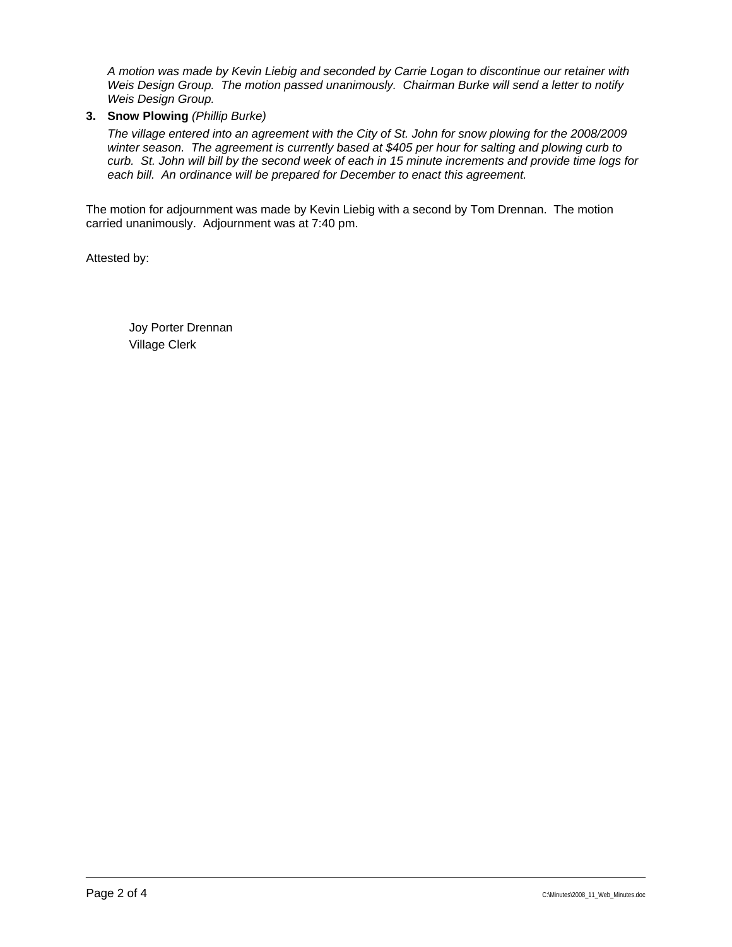*A motion was made by Kevin Liebig and seconded by Carrie Logan to discontinue our retainer with Weis Design Group. The motion passed unanimously. Chairman Burke will send a letter to notify Weis Design Group.* 

**3. Snow Plowing** *(Phillip Burke)*

*The village entered into an agreement with the City of St. John for snow plowing for the 2008/2009 winter season. The agreement is currently based at \$405 per hour for salting and plowing curb to curb. St. John will bill by the second week of each in 15 minute increments and provide time logs for*  each bill. An ordinance will be prepared for December to enact this agreement.

The motion for adjournment was made by Kevin Liebig with a second by Tom Drennan. The motion carried unanimously. Adjournment was at 7:40 pm.

Attested by: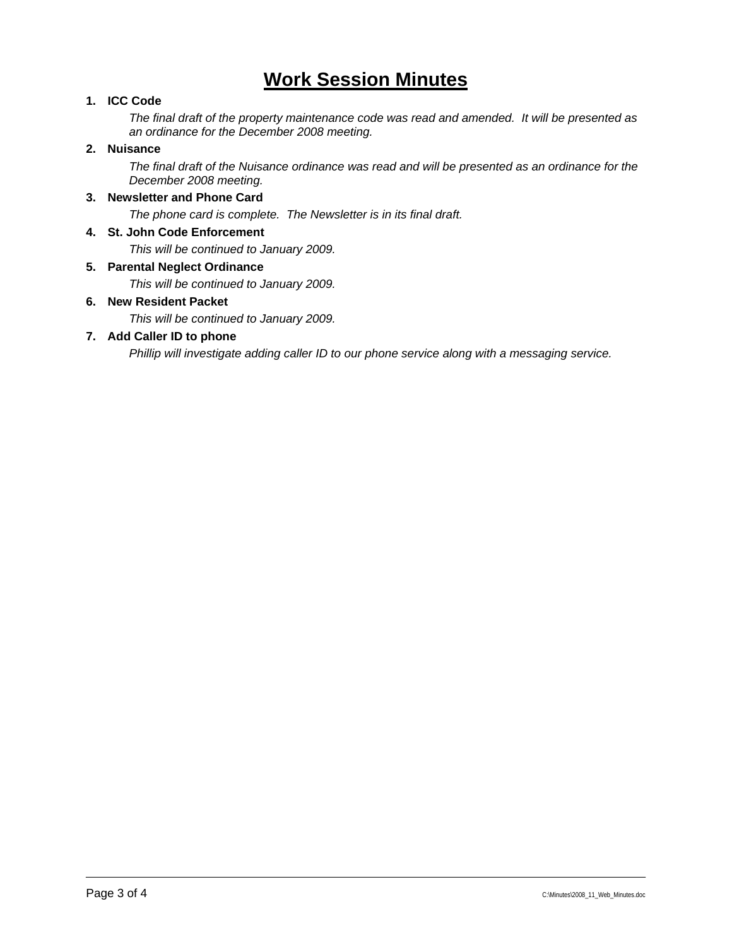# **Work Session Minutes**

### **1. ICC Code**

*The final draft of the property maintenance code was read and amended. It will be presented as an ordinance for the December 2008 meeting.* 

#### **2. Nuisance**

*The final draft of the Nuisance ordinance was read and will be presented as an ordinance for the December 2008 meeting.* 

### **3. Newsletter and Phone Card**

*The phone card is complete. The Newsletter is in its final draft.* 

#### **4. St. John Code Enforcement**

*This will be continued to January 2009.* 

#### **5. Parental Neglect Ordinance**

*This will be continued to January 2009.* 

#### **6. New Resident Packet**

*This will be continued to January 2009.* 

### **7. Add Caller ID to phone**

*Phillip will investigate adding caller ID to our phone service along with a messaging service.*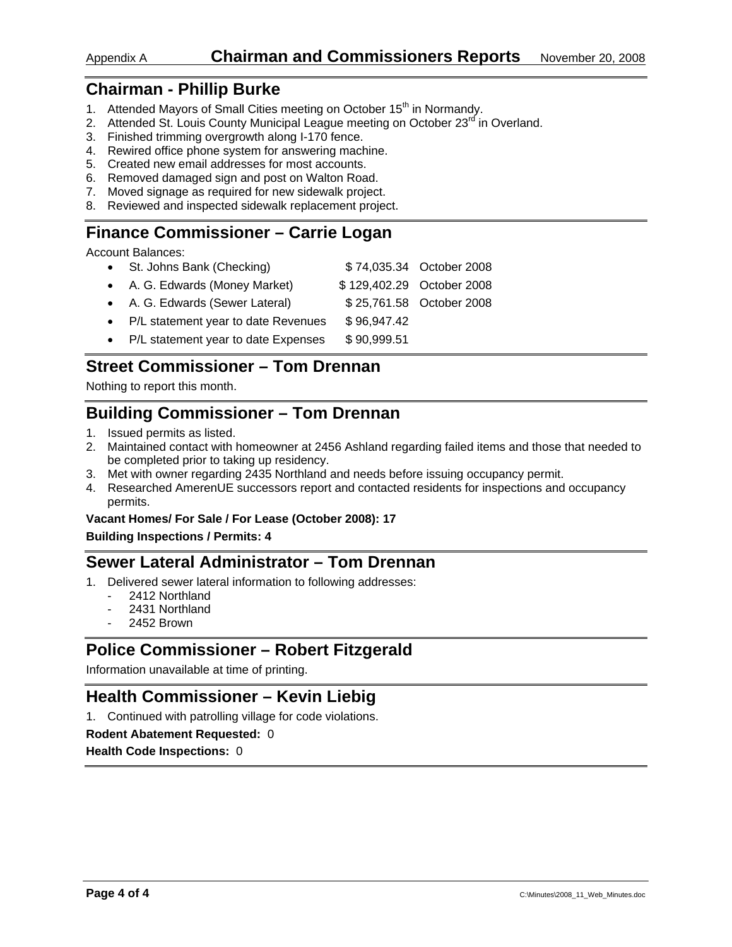# **Chairman - Phillip Burke**

- 1. Attended Mayors of Small Cities meeting on October 15<sup>th</sup> in Normandy.
- 2. Attended St. Louis County Municipal League meeting on October  $23<sup>rd</sup>$  in Overland.
- 3. Finished trimming overgrowth along I-170 fence.
- 4. Rewired office phone system for answering machine.
- 5. Created new email addresses for most accounts.
- 6. Removed damaged sign and post on Walton Road.
- 7. Moved signage as required for new sidewalk project.
- 8. Reviewed and inspected sidewalk replacement project.

## **Finance Commissioner – Carrie Logan**

Account Balances:

- St. Johns Bank (Checking) \$ 74,035.34 October 2008
- A. G. Edwards (Money Market)  $$129,402.29$  October 2008
- A. G. Edwards (Sewer Lateral) \$ 25,761.58 October 2008
- P/L statement year to date Revenues \$96,947.42
- P/L statement year to date Expenses \$90,999.51

# **Street Commissioner – Tom Drennan**

Nothing to report this month.

# **Building Commissioner – Tom Drennan**

- 1. Issued permits as listed.
- 2. Maintained contact with homeowner at 2456 Ashland regarding failed items and those that needed to be completed prior to taking up residency.
- 3. Met with owner regarding 2435 Northland and needs before issuing occupancy permit.
- 4. Researched AmerenUE successors report and contacted residents for inspections and occupancy permits.

#### **Vacant Homes/ For Sale / For Lease (October 2008): 17**

#### **Building Inspections / Permits: 4**

# **Sewer Lateral Administrator – Tom Drennan**

- 1. Delivered sewer lateral information to following addresses:
	- 2412 Northland
	- 2431 Northland
	- 2452 Brown

# **Police Commissioner – Robert Fitzgerald**

Information unavailable at time of printing.

# **Health Commissioner – Kevin Liebig**

1. Continued with patrolling village for code violations.

#### **Rodent Abatement Requested:** 0

**Health Code Inspections:** 0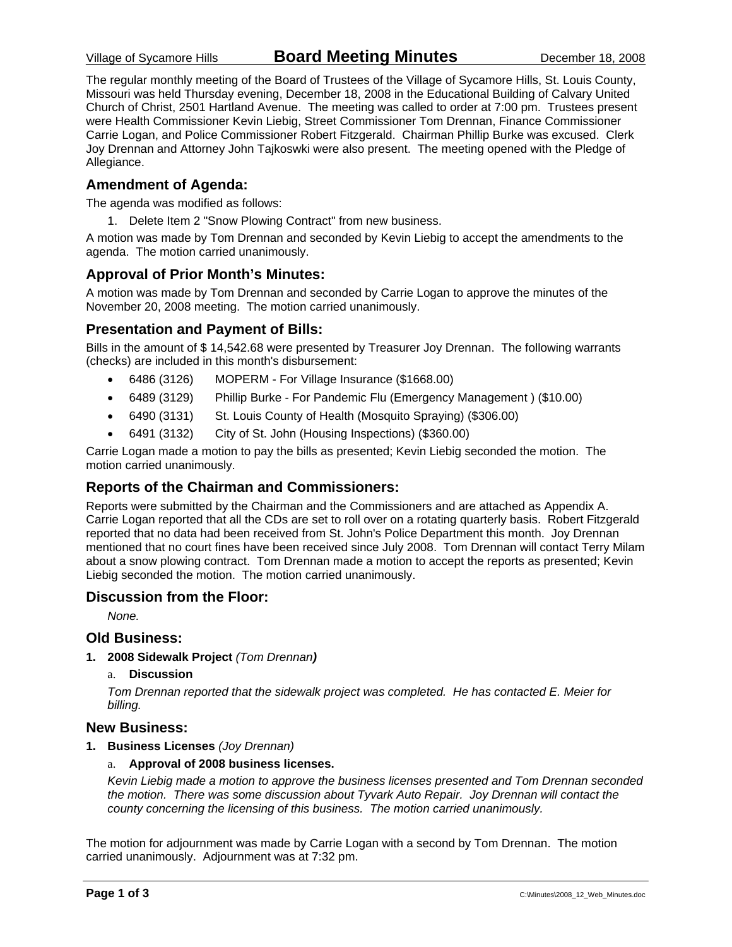The regular monthly meeting of the Board of Trustees of the Village of Sycamore Hills, St. Louis County, Missouri was held Thursday evening, December 18, 2008 in the Educational Building of Calvary United Church of Christ, 2501 Hartland Avenue. The meeting was called to order at 7:00 pm. Trustees present were Health Commissioner Kevin Liebig, Street Commissioner Tom Drennan, Finance Commissioner Carrie Logan, and Police Commissioner Robert Fitzgerald. Chairman Phillip Burke was excused. Clerk Joy Drennan and Attorney John Tajkoswki were also present. The meeting opened with the Pledge of Allegiance.

### **Amendment of Agenda:**

The agenda was modified as follows:

1. Delete Item 2 "Snow Plowing Contract" from new business.

A motion was made by Tom Drennan and seconded by Kevin Liebig to accept the amendments to the agenda. The motion carried unanimously.

### **Approval of Prior Month's Minutes:**

A motion was made by Tom Drennan and seconded by Carrie Logan to approve the minutes of the November 20, 2008 meeting. The motion carried unanimously.

### **Presentation and Payment of Bills:**

Bills in the amount of \$ 14,542.68 were presented by Treasurer Joy Drennan. The following warrants (checks) are included in this month's disbursement:

- 6486 (3126) MOPERM For Village Insurance (\$1668.00)
- 6489 (3129) Phillip Burke For Pandemic Flu (Emergency Management ) (\$10.00)
- 6490 (3131) St. Louis County of Health (Mosquito Spraying) (\$306.00)
- 6491 (3132) City of St. John (Housing Inspections) (\$360.00)

Carrie Logan made a motion to pay the bills as presented; Kevin Liebig seconded the motion. The motion carried unanimously.

### **Reports of the Chairman and Commissioners:**

Reports were submitted by the Chairman and the Commissioners and are attached as Appendix A. Carrie Logan reported that all the CDs are set to roll over on a rotating quarterly basis. Robert Fitzgerald reported that no data had been received from St. John's Police Department this month. Joy Drennan mentioned that no court fines have been received since July 2008. Tom Drennan will contact Terry Milam about a snow plowing contract. Tom Drennan made a motion to accept the reports as presented; Kevin Liebig seconded the motion. The motion carried unanimously.

### **Discussion from the Floor:**

*None.* 

### **Old Business:**

- **1. 2008 Sidewalk Project** *(Tom Drennan)*
	- a. **Discussion**

*Tom Drennan reported that the sidewalk project was completed. He has contacted E. Meier for billing.* 

### **New Business:**

**1. Business Licenses** *(Joy Drennan)*

#### a. **Approval of 2008 business licenses.**

*Kevin Liebig made a motion to approve the business licenses presented and Tom Drennan seconded the motion. There was some discussion about Tyvark Auto Repair. Joy Drennan will contact the county concerning the licensing of this business. The motion carried unanimously.* 

The motion for adjournment was made by Carrie Logan with a second by Tom Drennan. The motion carried unanimously. Adjournment was at 7:32 pm.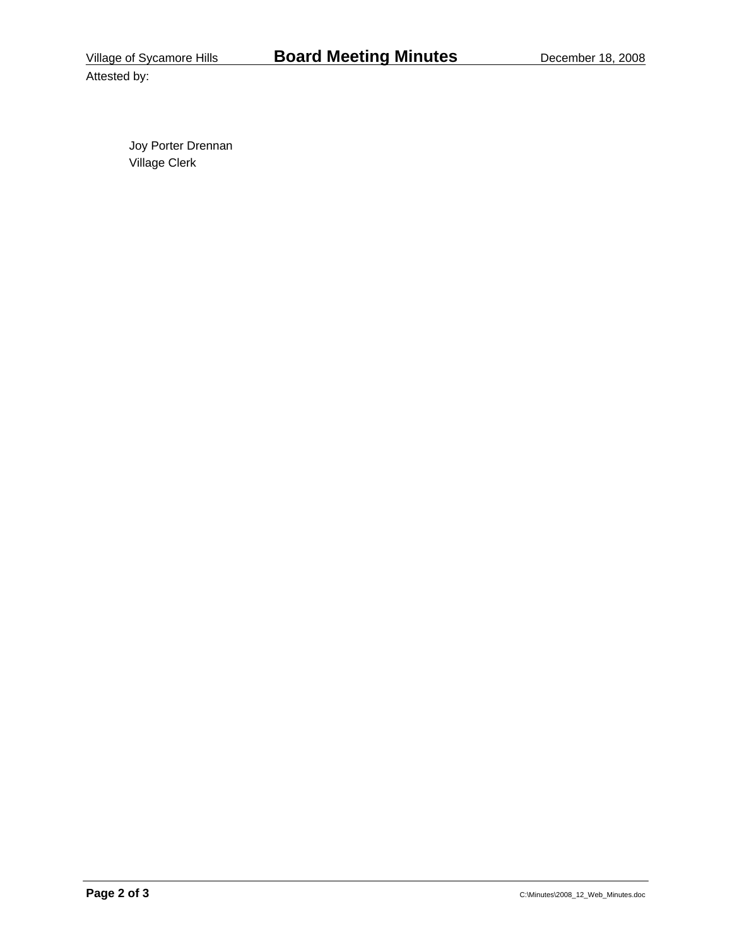Attested by: